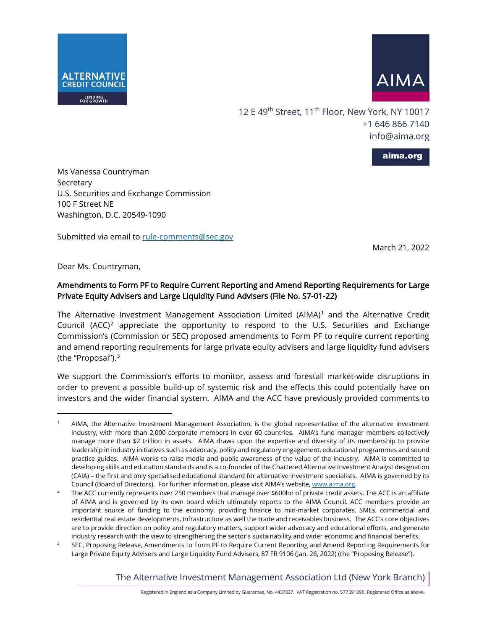



12 E 49<sup>th</sup> Street, 11<sup>th</sup> Floor, New York, NY 10017 +1 646 866 7140 [info@aima.org](mailto:info@aima.org)

aima.org

Ms Vanessa Countryman Secretary U.S. Securities and Exchange Commission 100 F Street NE Washington, D.C. 20549-1090

Submitted via email to rule-comments@sec.gov

March 21, 2022

Dear Ms. Countryman,

# Amendments to Form PF to Require Current Reporting and Amend Reporting Requirements for Large Private Equity Advisers and Large Liquidity Fund Advisers (File No. S7-01-22)

The Alternative Investment Management Association Limited (AIMA)<sup>[1](#page-0-0)</sup> and the Alternative Credit Council  $(ACC)^2$  $(ACC)^2$  appreciate the opportunity to respond to the U.S. Securities and Exchange Commission's (Commission or SEC) proposed amendments to Form PF to require current reporting and amend reporting requirements for large private equity advisers and large liquidity fund advisers (the "Proposal").<sup>[3](#page-0-2)</sup>

We support the Commission's efforts to monitor, assess and forestall market-wide disruptions in order to prevent a possible build-up of systemic risk and the effects this could potentially have on investors and the wider financial system. AIMA and the ACC have previously provided comments to

The Alternative Investment Management Association Ltd (New York Branch)

<span id="page-0-0"></span><sup>1</sup> AIMA, the Alternative Investment Management Association, is the global representative of the alternative investment industry, with more than 2,000 corporate members in over 60 countries. AIMA's fund manager members collectively manage more than \$2 trillion in assets. AIMA draws upon the expertise and diversity of its membership to provide leadership in industry initiatives such as advocacy, policy and regulatory engagement, educational programmes and sound practice guides. AIMA works to raise media and public awareness of the value of the industry. AIMA is committed to developing skills and education standards and is a co-founder of the Chartered Alternative Investment Analyst designation (CAIA) – the first and only specialised educational standard for alternative investment specialists. AIMA is governed by its

<span id="page-0-1"></span>Council (Board of Directors). For further information, please visit AIMA's website, www.aima.org.<br><sup>2</sup> The ACC currently represents over 250 members that manage over \$600bn of private credit assets. The ACC is an affiliate of AIMA and is governed by its own board which ultimately reports to the AIMA Council. ACC members provide an important source of funding to the economy, providing finance to mid-market corporates, SMEs, commercial and residential real estate developments, infrastructure as well the trade and receivables business. The ACC's core objectives are to provide direction on policy and regulatory matters, support wider advocacy and educational efforts, and generate industry research with the view to strengthening the sector's sustainability and wider economic and financial benefits.

<span id="page-0-2"></span><sup>3</sup> SEC, Proposing Release, Amendments to Form PF to Require Current Reporting and Amend Reporting Requirements for Large Private Equity Advisers and Large Liquidity Fund Advisers[, 87 FR 9](https://www.govinfo.gov/content/pkg/FR-2022-02-04/pdf/2021-27531.pdf)106 (Jan. 26, 2022) (the "Proposing Release").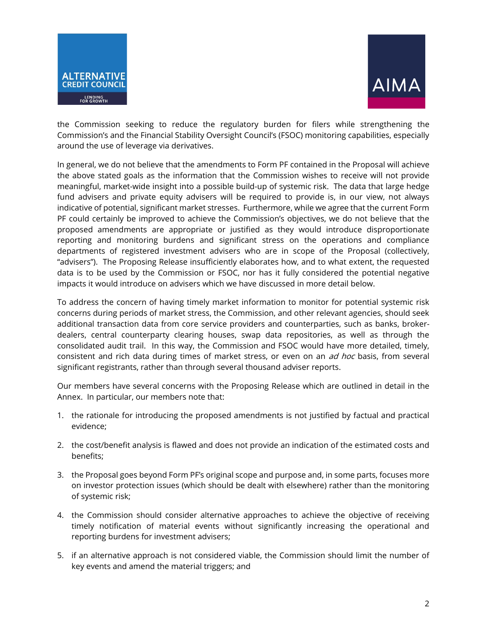



the Commission seeking to reduce the regulatory burden for filers while strengthening the Commission's and the Financial Stability Oversight Council's (FSOC) monitoring capabilities, especially around the use of leverage via derivatives.

In general, we do not believe that the amendments to Form PF contained in the Proposal will achieve the above stated goals as the information that the Commission wishes to receive will not provide meaningful, market-wide insight into a possible build-up of systemic risk. The data that large hedge fund advisers and private equity advisers will be required to provide is, in our view, not always indicative of potential, significant market stresses. Furthermore, while we agree that the current Form PF could certainly be improved to achieve the Commission's objectives, we do not believe that the proposed amendments are appropriate or justified as they would introduce disproportionate reporting and monitoring burdens and significant stress on the operations and compliance departments of registered investment advisers who are in scope of the Proposal (collectively, "advisers"). The Proposing Release insufficiently elaborates how, and to what extent, the requested data is to be used by the Commission or FSOC, nor has it fully considered the potential negative impacts it would introduce on advisers which we have discussed in more detail below.

To address the concern of having timely market information to monitor for potential systemic risk concerns during periods of market stress, the Commission, and other relevant agencies, should seek additional transaction data from core service providers and counterparties, such as banks, brokerdealers, central counterparty clearing houses, swap data repositories, as well as through the consolidated audit trail. In this way, the Commission and FSOC would have more detailed, timely, consistent and rich data during times of market stress, or even on an *ad hoc* basis, from several significant registrants, rather than through several thousand adviser reports.

Our members have several concerns with the Proposing Release which are outlined in detail in the Annex. In particular, our members note that:

- 1. the rationale for introducing the proposed amendments is not justified by factual and practical evidence;
- 2. the cost/benefit analysis is flawed and does not provide an indication of the estimated costs and benefits;
- 3. the Proposal goes beyond Form PF's original scope and purpose and, in some parts, focuses more on investor protection issues (which should be dealt with elsewhere) rather than the monitoring of systemic risk;
- 4. the Commission should consider alternative approaches to achieve the objective of receiving timely notification of material events without significantly increasing the operational and reporting burdens for investment advisers;
- 5. if an alternative approach is not considered viable, the Commission should limit the number of key events and amend the material triggers; and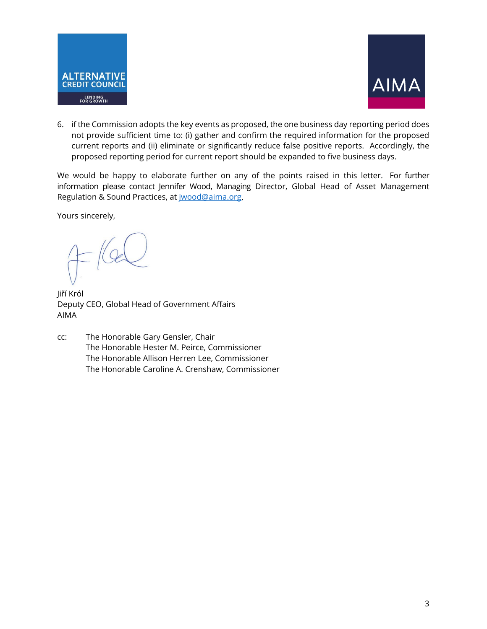



6. if the Commission adopts the key events as proposed, the one business day reporting period does not provide sufficient time to: (i) gather and confirm the required information for the proposed current reports and (ii) eliminate or significantly reduce false positive reports. Accordingly, the proposed reporting period for current report should be expanded to five business days.

We would be happy to elaborate further on any of the points raised in this letter. For further information please contact Jennifer Wood, Managing Director, Global Head of Asset Management Regulation & Sound Practices, at [jwood@aima.org.](mailto:jwood@aima.org)

Yours sincerely,

Jiří Król Deputy CEO, Global Head of Government Affairs AIMA

cc: The Honorable Gary Gensler, Chair The Honorable Hester M. Peirce, Commissioner The Honorable Allison Herren Lee, Commissioner The Honorable Caroline A. Crenshaw, Commissioner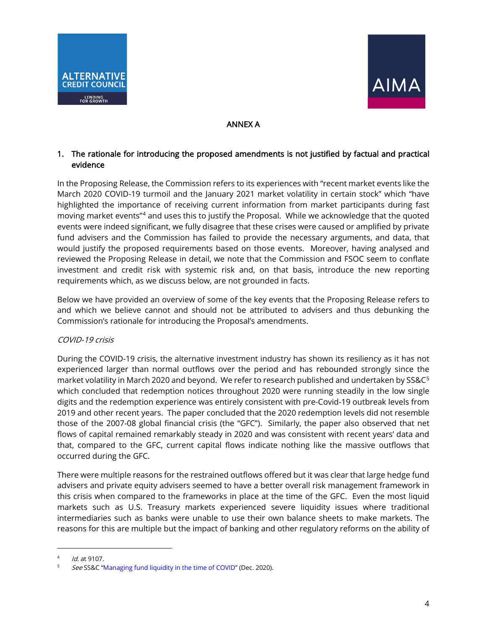



# ANNEX A

# 1. The rationale for introducing the proposed amendments is not justified by factual and practical evidence

In the Proposing Release, the Commission refers to its experiences with "recent market events like the March 2020 COVID-19 turmoil and the January 2021 market volatility in certain stock" which "have highlighted the importance of receiving current information from market participants during fast moving market events"[4](#page-3-0) and uses this to justify the Proposal. While we acknowledge that the quoted events were indeed significant, we fully disagree that these crises were caused or amplified by private fund advisers and the Commission has failed to provide the necessary arguments, and data, that would justify the proposed requirements based on those events. Moreover, having analysed and reviewed the Proposing Release in detail, we note that the Commission and FSOC seem to conflate investment and credit risk with systemic risk and, on that basis, introduce the new reporting requirements which, as we discuss below, are not grounded in facts.

Below we have provided an overview of some of the key events that the Proposing Release refers to and which we believe cannot and should not be attributed to advisers and thus debunking the Commission's rationale for introducing the Proposal's amendments.

## COVID-19 crisis

During the COVID-19 crisis, the alternative investment industry has shown its resiliency as it has not experienced larger than normal outflows over the period and has rebounded strongly since the market volatility in March 2020 and beyond. We refer to research published and undertaken by SS&C[5](#page-3-1) which concluded that redemption notices throughout 2020 were running steadily in the low single digits and the redemption experience was entirely consistent with pre-Covid-19 outbreak levels from 2019 and other recent years. The paper concluded that the 2020 redemption levels did not resemble those of the 2007-08 global financial crisis (the "GFC"). Similarly, the paper also observed that net flows of capital remained remarkably steady in 2020 and was consistent with recent years' data and that, compared to the GFC, current capital flows indicate nothing like the massive outflows that occurred during the GFC.

There were multiple reasons for the restrained outflows offered but it was clear that large hedge fund advisers and private equity advisers seemed to have a better overall risk management framework in this crisis when compared to the frameworks in place at the time of the GFC. Even the most liquid markets such as U.S. Treasury markets experienced severe liquidity issues where traditional intermediaries such as banks were unable to use their own balance sheets to make markets. The reasons for this are multiple but the impact of banking and other regulatory reforms on the ability of

<span id="page-3-1"></span><span id="page-3-0"></span><sup>&</sup>lt;sup>4</sup> *Id.* at 9107.<br><sup>5</sup> See SS&C "Managing fund liquidity in the time of COVID" (Dec. 2020).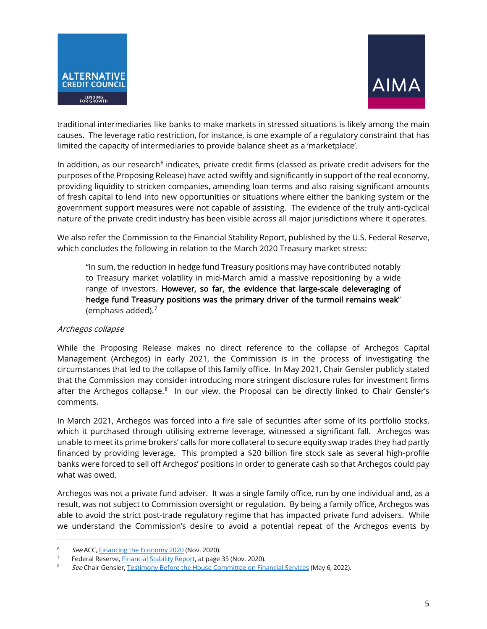



traditional intermediaries like banks to make markets in stressed situations is likely among the main causes. The leverage ratio restriction, for instance, is one example of a regulatory constraint that has limited the capacity of intermediaries to provide balance sheet as a 'marketplace'.

In addition, as our research<sup>[6](#page-4-0)</sup> indicates, private credit firms (classed as private credit advisers for the purposes of the Proposing Release) have acted swiftly and significantly in support of the real economy, providing liquidity to stricken companies, amending loan terms and also raising significant amounts of fresh capital to lend into new opportunities or situations where either the banking system or the government support measures were not capable of assisting. The evidence of the truly anti-cyclical nature of the private credit industry has been visible across all major jurisdictions where it operates.

We also refer the Commission to the Financial Stability Report, published by the U.S. Federal Reserve, which concludes the following in relation to the March 2020 Treasury market stress:

"In sum, the reduction in hedge fund Treasury positions may have contributed notably to Treasury market volatility in mid-March amid a massive repositioning by a wide range of investors. However, so far, the evidence that large-scale deleveraging of hedge fund Treasury positions was the primary driver of the turmoil remains weak" (emphasis added).[7](#page-4-1)

## Archegos collapse

While the Proposing Release makes no direct reference to the collapse of Archegos Capital Management (Archegos) in early 2021, the Commission is in the process of investigating the circumstances that led to the collapse of this family office. In May 2021, Chair Gensler publicly stated that the Commission may consider introducing more stringent disclosure rules for investment firms after the Archegos collapse.<sup>8</sup> In our view, the Proposal can be directly linked to Chair Gensler's comments.

In March 2021, Archegos was forced into a fire sale of securities after some of its portfolio stocks, which it purchased through utilising extreme leverage, witnessed a significant fall. Archegos was unable to meet its prime brokers' calls for more collateral to secure equity swap trades they had partly financed by providing leverage. This prompted a \$20 billion fire stock sale as several high-profile banks were forced to sell off Archegos' positions in order to generate cash so that Archegos could pay what was owed.

Archegos was not a private fund adviser. It was a single family office, run by one individual and, as a result, was not subject to Commission oversight or regulation. By being a family office, Archegos was able to avoid the strict post-trade regulatory regime that has impacted private fund advisers. While we understand the Commission's desire to avoid a potential repeat of the Archegos events by

<span id="page-4-0"></span><sup>6</sup> See ACC[, Financing the Economy 2020](https://acc.aima.org/research/financing-the-economy-2020.html) (Nov. 2020).

<span id="page-4-1"></span>Federal Reserve[, Financial Stability Report,](https://www.federalreserve.gov/publications/files/financial-stability-report-20201109.pdf) at page 35 (Nov. 2020).

<span id="page-4-2"></span><sup>8</sup> See Chair Gensler, [Testimony Before the House Committee on Financial Services](https://www.sec.gov/news/testimony/gensler-testimony-20210505) (May 6, 2022).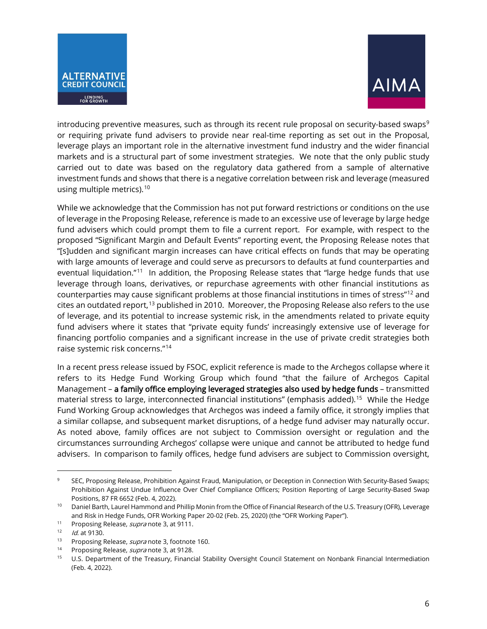



introducing preventive measures, such as through its recent rule proposal on security-based swaps $9$ or requiring private fund advisers to provide near real-time reporting as set out in the Proposal, leverage plays an important role in the alternative investment fund industry and the wider financial markets and is a structural part of some investment strategies. We note that the only public study carried out to date was based on the regulatory data gathered from a sample of alternative investment funds and shows that there is a negative correlation between risk and leverage (measured using multiple metrics).<sup>[10](#page-5-1)</sup>

While we acknowledge that the Commission has not put forward restrictions or conditions on the use of leverage in the Proposing Release, reference is made to an excessive use of leverage by large hedge fund advisers which could prompt them to file a current report. For example, with respect to the proposed "Significant Margin and Default Events" reporting event, the Proposing Release notes that "[s]udden and significant margin increases can have critical effects on funds that may be operating with large amounts of leverage and could serve as precursors to defaults at fund counterparties and eventual liquidation."<sup>11</sup> In addition, the Proposing Release states that "large hedge funds that use leverage through loans, derivatives, or repurchase agreements with other financial institutions as counterparties may cause significant problems at those financial institutions in times of stress"[12](#page-5-3) and cites an outdated report,<sup>[13](#page-5-4)</sup> published in 2010. Moreover, the Proposing Release also refers to the use of leverage, and its potential to increase systemic risk, in the amendments related to private equity fund advisers where it states that "private equity funds' increasingly extensive use of leverage for financing portfolio companies and a significant increase in the use of private credit strategies both raise systemic risk concerns."[14](#page-5-5) 

In a recent press release issued by FSOC, explicit reference is made to the Archegos collapse where it refers to its Hedge Fund Working Group which found "that the failure of Archegos Capital Management – a family office employing leveraged strategies also used by hedge funds – transmitted material stress to large, interconnected financial institutions" (emphasis added).<sup>15</sup> While the Hedge Fund Working Group acknowledges that Archegos was indeed a family office, it strongly implies that a similar collapse, and subsequent market disruptions, of a hedge fund adviser may naturally occur. As noted above, family offices are not subject to Commission oversight or regulation and the circumstances surrounding Archegos' collapse were unique and cannot be attributed to hedge fund advisers. In comparison to family offices, hedge fund advisers are subject to Commission oversight,

<span id="page-5-0"></span><sup>9</sup> SEC, Proposing Release, Prohibition Against Fraud, Manipulation, or Deception in Connection With Security-Based Swaps; Prohibition Against Undue Influence Over Chief Compliance Officers; Position Reporting of Large Security-Based Swap Positions, [87 FR 6652](https://www.govinfo.gov/content/pkg/FR-2022-02-04/pdf/2021-27531.pdf) (Feb. 4, 2022).

<span id="page-5-1"></span><sup>10</sup> Daniel Barth, Laurel Hammond and Phillip Monin from the Office of Financial Research of the U.S. Treasury (OFR), Leverage and Risk in Hedge Funds, OFR Working Paper 20-02 (Feb. 25, 2020) (the "OFR Working Paper").

<span id="page-5-2"></span><sup>&</sup>lt;sup>11</sup> Proposing Release, *supra* note 3, at 9111.

<span id="page-5-3"></span> $12$  *Id.* at 9130.

<span id="page-5-4"></span><sup>&</sup>lt;sup>13</sup> Proposing Release, *supra* note 3, footnote 160.

<span id="page-5-6"></span><span id="page-5-5"></span><sup>&</sup>lt;sup>14</sup> Proposing Release, *supra* note 3, at 9128.

U.S. Department of the Treasury, Financial Stability Oversight Council Statement on Nonbank Financial Intermediation (Feb. 4, 2022).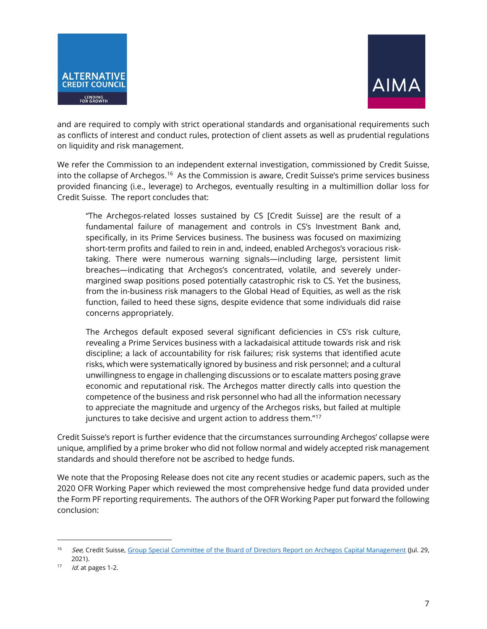



and are required to comply with strict operational standards and organisational requirements such as conflicts of interest and conduct rules, protection of client assets as well as prudential regulations on liquidity and risk management.

We refer the Commission to an independent external investigation, commissioned by Credit Suisse, into the collapse of Archegos.<sup>16</sup> As the Commission is aware, Credit Suisse's prime services business provided financing (i.e., leverage) to Archegos, eventually resulting in a multimillion dollar loss for Credit Suisse. The report concludes that:

"The Archegos-related losses sustained by CS [Credit Suisse] are the result of a fundamental failure of management and controls in CS's Investment Bank and, specifically, in its Prime Services business. The business was focused on maximizing short-term profits and failed to rein in and, indeed, enabled Archegos's voracious risktaking. There were numerous warning signals—including large, persistent limit breaches—indicating that Archegos's concentrated, volatile, and severely undermargined swap positions posed potentially catastrophic risk to CS. Yet the business, from the in-business risk managers to the Global Head of Equities, as well as the risk function, failed to heed these signs, despite evidence that some individuals did raise concerns appropriately.

The Archegos default exposed several significant deficiencies in CS's risk culture, revealing a Prime Services business with a lackadaisical attitude towards risk and risk discipline; a lack of accountability for risk failures; risk systems that identified acute risks, which were systematically ignored by business and risk personnel; and a cultural unwillingness to engage in challenging discussions or to escalate matters posing grave economic and reputational risk. The Archegos matter directly calls into question the competence of the business and risk personnel who had all the information necessary to appreciate the magnitude and urgency of the Archegos risks, but failed at multiple junctures to take decisive and urgent action to address them."[17](#page-6-1)

Credit Suisse's report is further evidence that the circumstances surrounding Archegos' collapse were unique, amplified by a prime broker who did not follow normal and widely accepted risk management standards and should therefore not be ascribed to hedge funds.

We note that the Proposing Release does not cite any recent studies or academic papers, such as the 2020 OFR Working Paper which reviewed the most comprehensive hedge fund data provided under the Form PF reporting requirements. The authors of the OFR Working Paper put forward the following conclusion:

<span id="page-6-0"></span><sup>&</sup>lt;sup>16</sup> See, Credit Suisse[, Group Special Committee of the Board of Directors Report on Archegos Capital Management](https://www.credit-suisse.com/about-us/en/reports-research/archegos-info-kit.html) (Jul. 29, 2021).<br><sup>17</sup> *Id.* at pages 1-2.

<span id="page-6-1"></span>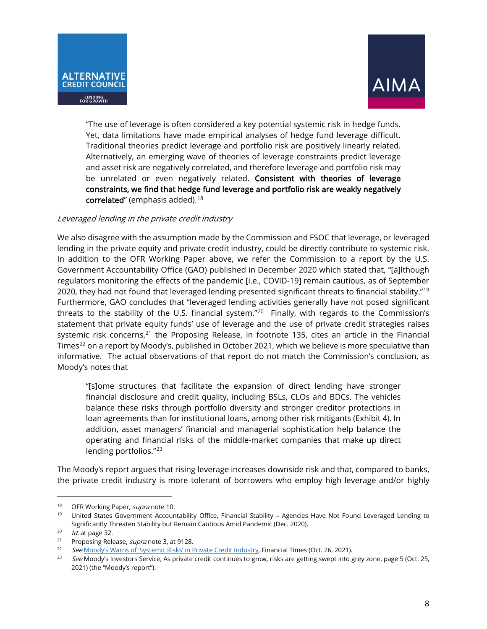



"The use of leverage is often considered a key potential systemic risk in hedge funds. Yet, data limitations have made empirical analyses of hedge fund leverage difficult. Traditional theories predict leverage and portfolio risk are positively linearly related. Alternatively, an emerging wave of theories of leverage constraints predict leverage and asset risk are negatively correlated, and therefore leverage and portfolio risk may be unrelated or even negatively related. Consistent with theories of leverage constraints, we find that hedge fund leverage and portfolio risk are weakly negatively  $\,$  correlated" (emphasis added). $^{18}$  $^{18}$  $^{18}$ 

#### Leveraged lending in the private credit industry

We also disagree with the assumption made by the Commission and FSOC that leverage, or leveraged lending in the private equity and private credit industry, could be directly contribute to systemic risk. In addition to the OFR Working Paper above, we refer the Commission to a report by the U.S. Government Accountability Office (GAO) published in December 2020 which stated that, "[a]lthough regulators monitoring the effects of the pandemic [i.e., COVID-19] remain cautious, as of September 2020, they had not found that leveraged lending presented significant threats to financial stability."[19](#page-7-1) Furthermore, GAO concludes that "leveraged lending activities generally have not posed significant threats to the stability of the U.S. financial system."[20](#page-7-2) Finally, with regards to the Commission's statement that private equity funds' use of leverage and the use of private credit strategies raises systemic risk concerns,<sup>[21](#page-7-3)</sup> the Proposing Release, in footnote 135, cites an article in the Financial Times<sup>[22](#page-7-4)</sup> on a report by Moody's, published in October 2021, which we believe is more speculative than informative. The actual observations of that report do not match the Commission's conclusion, as Moody's notes that

"[s]ome structures that facilitate the expansion of direct lending have stronger financial disclosure and credit quality, including BSLs, CLOs and BDCs. The vehicles balance these risks through portfolio diversity and stronger creditor protections in loan agreements than for institutional loans, among other risk mitigants (Exhibit 4). In addition, asset managers' financial and managerial sophistication help balance the operating and financial risks of the middle-market companies that make up direct lending portfolios."[23](#page-7-5)

The Moody's report argues that rising leverage increases downside risk and that, compared to banks, the private credit industry is more tolerant of borrowers who employ high leverage and/or highly

<span id="page-7-1"></span><span id="page-7-0"></span><sup>&</sup>lt;sup>18</sup> OFR Working Paper, *supra* note 10.<br><sup>19</sup> United States Government Accountability Office, Financial Stability – Agencies Have Not Found Leveraged Lending to Significantly Threaten Stability but Remain Cautious Amid Pandemic (Dec. 2020).

<span id="page-7-2"></span> $10<sup>20</sup>$  *Id.* at page 32.

<span id="page-7-3"></span><sup>&</sup>lt;sup>21</sup> Proposing Release, *supra* note 3, at 9128.

<span id="page-7-5"></span><span id="page-7-4"></span><sup>&</sup>lt;sup>22</sup> See [Moody's Warns of 'Systemic Risks' in Private Credit Industry,](https://www.ft.com/content/862d0efb-09e5-4d92-b8aa-7856a59adb20) Financial Times (Oct. 26, 2021).<br><sup>23</sup> See Moody's Investors Service, As private credit continues to grow, risks are getting swept into grey zone, page 2021) (the "Moody's report").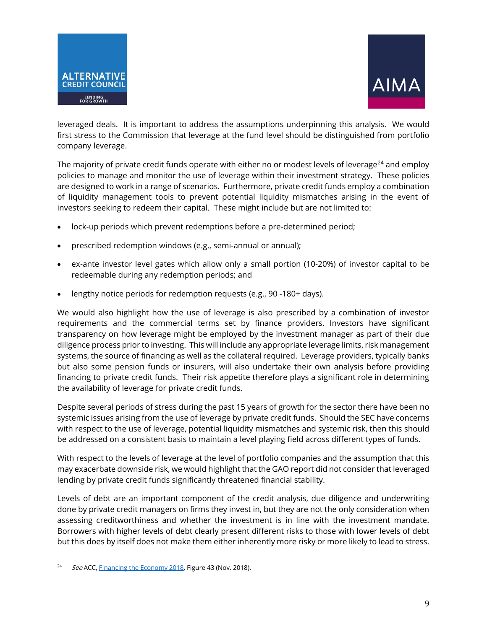



leveraged deals. It is important to address the assumptions underpinning this analysis. We would first stress to the Commission that leverage at the fund level should be distinguished from portfolio company leverage.

The majority of private credit funds operate with either no or modest levels of leverage<sup>[24](#page-8-0)</sup> and employ policies to manage and monitor the use of leverage within their investment strategy. These policies are designed to work in a range of scenarios. Furthermore, private credit funds employ a combination of liquidity management tools to prevent potential liquidity mismatches arising in the event of investors seeking to redeem their capital. These might include but are not limited to:

- lock-up periods which prevent redemptions before a pre-determined period;
- prescribed redemption windows (e.g., semi-annual or annual);
- ex-ante investor level gates which allow only a small portion (10-20%) of investor capital to be redeemable during any redemption periods; and
- lengthy notice periods for redemption requests (e.g., 90 -180+ days).

We would also highlight how the use of leverage is also prescribed by a combination of investor requirements and the commercial terms set by finance providers. Investors have significant transparency on how leverage might be employed by the investment manager as part of their due diligence process prior to investing. This will include any appropriate leverage limits, risk management systems, the source of financing as well as the collateral required. Leverage providers, typically banks but also some pension funds or insurers, will also undertake their own analysis before providing financing to private credit funds. Their risk appetite therefore plays a significant role in determining the availability of leverage for private credit funds.

Despite several periods of stress during the past 15 years of growth for the sector there have been no systemic issues arising from the use of leverage by private credit funds. Should the SEC have concerns with respect to the use of leverage, potential liquidity mismatches and systemic risk, then this should be addressed on a consistent basis to maintain a level playing field across different types of funds.

With respect to the levels of leverage at the level of portfolio companies and the assumption that this may exacerbate downside risk, we would highlight that the GAO report did not consider that leveraged lending by private credit funds significantly threatened financial stability.

Levels of debt are an important component of the credit analysis, due diligence and underwriting done by private credit managers on firms they invest in, but they are not the only consideration when assessing creditworthiness and whether the investment is in line with the investment mandate. Borrowers with higher levels of debt clearly present different risks to those with lower levels of debt but this does by itself does not make them either inherently more risky or more likely to lead to stress.

<span id="page-8-0"></span>See ACC[, Financing the Economy 2018,](https://acc.aima.org/research/fte-2018.html) Figure 43 (Nov. 2018).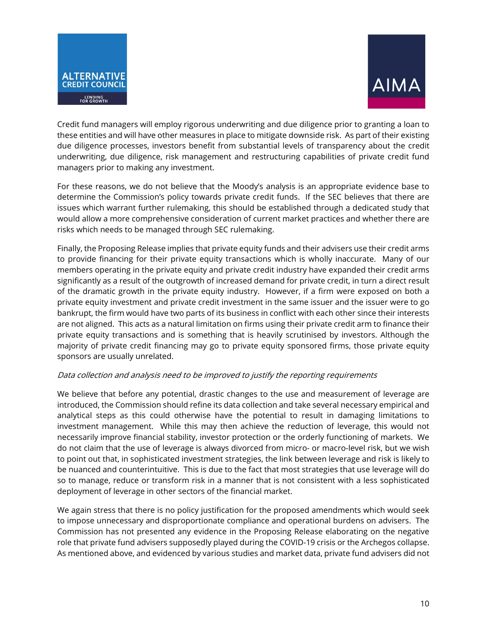



Credit fund managers will employ rigorous underwriting and due diligence prior to granting a loan to these entities and will have other measures in place to mitigate downside risk. As part of their existing due diligence processes, investors benefit from substantial levels of transparency about the credit underwriting, due diligence, risk management and restructuring capabilities of private credit fund managers prior to making any investment.

For these reasons, we do not believe that the Moody's analysis is an appropriate evidence base to determine the Commission's policy towards private credit funds. If the SEC believes that there are issues which warrant further rulemaking, this should be established through a dedicated study that would allow a more comprehensive consideration of current market practices and whether there are risks which needs to be managed through SEC rulemaking.

Finally, the Proposing Release implies that private equity funds and their advisers use their credit arms to provide financing for their private equity transactions which is wholly inaccurate. Many of our members operating in the private equity and private credit industry have expanded their credit arms significantly as a result of the outgrowth of increased demand for private credit, in turn a direct result of the dramatic growth in the private equity industry. However, if a firm were exposed on both a private equity investment and private credit investment in the same issuer and the issuer were to go bankrupt, the firm would have two parts of its business in conflict with each other since their interests are not aligned. This acts as a natural limitation on firms using their private credit arm to finance their private equity transactions and is something that is heavily scrutinised by investors. Although the majority of private credit financing may go to private equity sponsored firms, those private equity sponsors are usually unrelated.

#### Data collection and analysis need to be improved to justify the reporting requirements

We believe that before any potential, drastic changes to the use and measurement of leverage are introduced, the Commission should refine its data collection and take several necessary empirical and analytical steps as this could otherwise have the potential to result in damaging limitations to investment management. While this may then achieve the reduction of leverage, this would not necessarily improve financial stability, investor protection or the orderly functioning of markets. We do not claim that the use of leverage is always divorced from micro- or macro-level risk, but we wish to point out that, in sophisticated investment strategies, the link between leverage and risk is likely to be nuanced and counterintuitive. This is due to the fact that most strategies that use leverage will do so to manage, reduce or transform risk in a manner that is not consistent with a less sophisticated deployment of leverage in other sectors of the financial market.

We again stress that there is no policy justification for the proposed amendments which would seek to impose unnecessary and disproportionate compliance and operational burdens on advisers. The Commission has not presented any evidence in the Proposing Release elaborating on the negative role that private fund advisers supposedly played during the COVID-19 crisis or the Archegos collapse. As mentioned above, and evidenced by various studies and market data, private fund advisers did not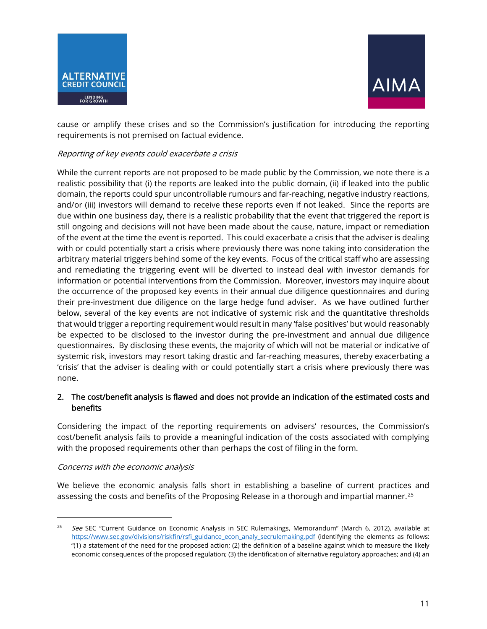



cause or amplify these crises and so the Commission's justification for introducing the reporting requirements is not premised on factual evidence.

### Reporting of key events could exacerbate a crisis

While the current reports are not proposed to be made public by the Commission, we note there is a realistic possibility that (i) the reports are leaked into the public domain, (ii) if leaked into the public domain, the reports could spur uncontrollable rumours and far-reaching, negative industry reactions, and/or (iii) investors will demand to receive these reports even if not leaked. Since the reports are due within one business day, there is a realistic probability that the event that triggered the report is still ongoing and decisions will not have been made about the cause, nature, impact or remediation of the event at the time the event is reported. This could exacerbate a crisis that the adviser is dealing with or could potentially start a crisis where previously there was none taking into consideration the arbitrary material triggers behind some of the key events. Focus of the critical staff who are assessing and remediating the triggering event will be diverted to instead deal with investor demands for information or potential interventions from the Commission. Moreover, investors may inquire about the occurrence of the proposed key events in their annual due diligence questionnaires and during their pre-investment due diligence on the large hedge fund adviser. As we have outlined further below, several of the key events are not indicative of systemic risk and the quantitative thresholds that would trigger a reporting requirement would result in many 'false positives' but would reasonably be expected to be disclosed to the investor during the pre-investment and annual due diligence questionnaires. By disclosing these events, the majority of which will not be material or indicative of systemic risk, investors may resort taking drastic and far-reaching measures, thereby exacerbating a 'crisis' that the adviser is dealing with or could potentially start a crisis where previously there was none.

# 2. The cost/benefit analysis is flawed and does not provide an indication of the estimated costs and benefits

Considering the impact of the reporting requirements on advisers' resources, the Commission's cost/benefit analysis fails to provide a meaningful indication of the costs associated with complying with the proposed requirements other than perhaps the cost of filing in the form.

#### Concerns with the economic analysis

We believe the economic analysis falls short in establishing a baseline of current practices and assessing the costs and benefits of the Proposing Release in a thorough and impartial manner.<sup>[25](#page-10-0)</sup>

<span id="page-10-0"></span><sup>&</sup>lt;sup>25</sup> See SEC "Current Guidance on Economic Analysis in SEC Rulemakings, Memorandum" (March 6, 2012), available at [https://www.sec.gov/divisions/riskfin/rsfi\\_guidance\\_econ\\_analy\\_secrulemaking.pdf](https://www.sec.gov/divisions/riskfin/rsfi_guidance_econ_analy_secrulemaking.pdf) (identifying the elements as follows: "(1) a statement of the need for the proposed action; (2) the definition of a baseline against which to measure the likely economic consequences of the proposed regulation; (3) the identification of alternative regulatory approaches; and (4) an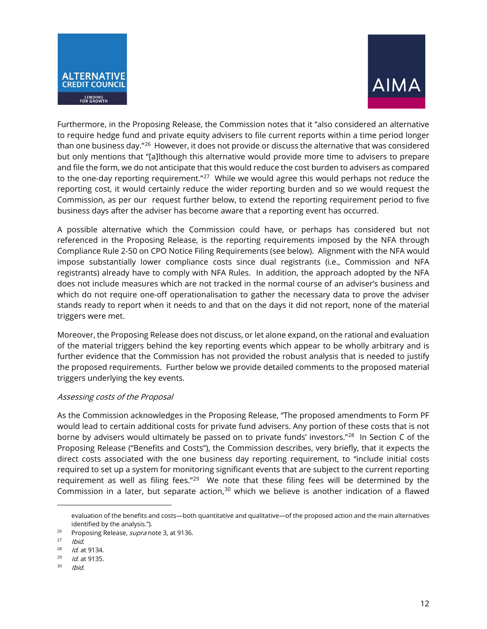



Furthermore, in the Proposing Release, the Commission notes that it "also considered an alternative to require hedge fund and private equity advisers to file current reports within a time period longer than one business day."[26](#page-11-0) However, it does not provide or discuss the alternative that was considered but only mentions that "[a]lthough this alternative would provide more time to advisers to prepare and file the form, we do not anticipate that this would reduce the cost burden to advisers as compared to the one-day reporting requirement."<sup>27</sup> While we would agree this would perhaps not reduce the reporting cost, it would certainly reduce the wider reporting burden and so we would request the Commission, as per our request further below, to extend the reporting requirement period to five business days after the adviser has become aware that a reporting event has occurred.

A possible alternative which the Commission could have, or perhaps has considered but not referenced in the Proposing Release, is the reporting requirements imposed by the NFA through Compliance Rule 2-50 on CPO Notice Filing Requirements (see below). Alignment with the NFA would impose substantially lower compliance costs since dual registrants (i.e., Commission and NFA registrants) already have to comply with NFA Rules. In addition, the approach adopted by the NFA does not include measures which are not tracked in the normal course of an adviser's business and which do not require one-off operationalisation to gather the necessary data to prove the adviser stands ready to report when it needs to and that on the days it did not report, none of the material triggers were met.

Moreover, the Proposing Release does not discuss, or let alone expand, on the rational and evaluation of the material triggers behind the key reporting events which appear to be wholly arbitrary and is further evidence that the Commission has not provided the robust analysis that is needed to justify the proposed requirements. Further below we provide detailed comments to the proposed material triggers underlying the key events.

#### Assessing costs of the Proposal

As the Commission acknowledges in the Proposing Release, "The proposed amendments to Form PF would lead to certain additional costs for private fund advisers. Any portion of these costs that is not borne by advisers would ultimately be passed on to private funds' investors."<sup>[28](#page-11-2)</sup> In Section C of the Proposing Release ("Benefits and Costs"), the Commission describes, very briefly, that it expects the direct costs associated with the one business day reporting requirement, to "include initial costs required to set up a system for monitoring significant events that are subject to the current reporting requirement as well as filing fees."<sup>[29](#page-11-3)</sup> We note that these filing fees will be determined by the Commission in a later, but separate action, $30$  which we believe is another indication of a flawed

evaluation of the benefits and costs—both quantitative and qualitative—of the proposed action and the main alternatives identified by the analysis.").

<span id="page-11-0"></span><sup>&</sup>lt;sup>26</sup> Proposing Release, *supra* note 3, at 9136.

<span id="page-11-1"></span>Ibid.

<span id="page-11-2"></span> $128$  *Id.* at 9134.

<span id="page-11-3"></span> $129$  *Id.* at 9135.

<span id="page-11-4"></span><sup>30</sup> Ibid.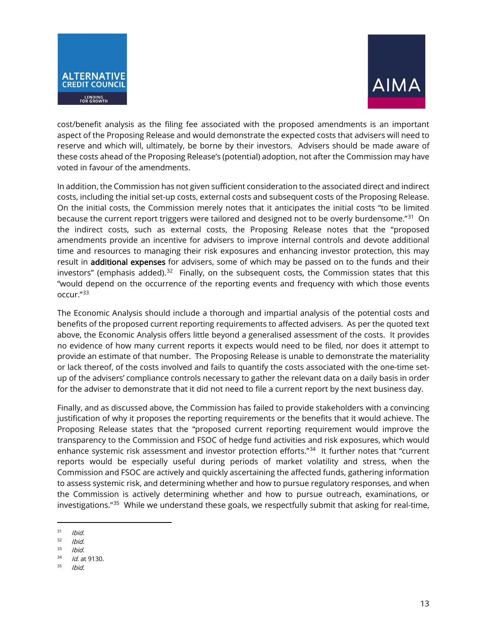



cost/benefit analysis as the filing fee associated with the proposed amendments is an important aspect of the Proposing Release and would demonstrate the expected costs that advisers will need to reserve and which will, ultimately, be borne by their investors. Advisers should be made aware of these costs ahead of the Proposing Release's (potential) adoption, not after the Commission may have voted in favour of the amendments.

In addition, the Commission has not given sufficient consideration to the associated direct and indirect costs, including the initial set-up costs, external costs and subsequent costs of the Proposing Release. On the initial costs, the Commission merely notes that it anticipates the initial costs "to be limited because the current report triggers were tailored and designed not to be overly burdensome."<sup>31</sup> On the indirect costs, such as external costs, the Proposing Release notes that the "proposed amendments provide an incentive for advisers to improve internal controls and devote additional time and resources to managing their risk exposures and enhancing investor protection, this may result in additional expenses for advisers, some of which may be passed on to the funds and their investors" (emphasis added). $32$  Finally, on the subsequent costs, the Commission states that this "would depend on the occurrence of the reporting events and frequency with which those events occur."[33](#page-12-2) 

The Economic Analysis should include a thorough and impartial analysis of the potential costs and benefits of the proposed current reporting requirements to affected advisers. As per the quoted text above, the Economic Analysis offers little beyond a generalised assessment of the costs. It provides no evidence of how many current reports it expects would need to be filed, nor does it attempt to provide an estimate of that number. The Proposing Release is unable to demonstrate the materiality or lack thereof, of the costs involved and fails to quantify the costs associated with the one-time setup of the advisers' compliance controls necessary to gather the relevant data on a daily basis in order for the adviser to demonstrate that it did not need to file a current report by the next business day.

Finally, and as discussed above, the Commission has failed to provide stakeholders with a convincing justification of why it proposes the reporting requirements or the benefits that it would achieve. The Proposing Release states that the "proposed current reporting requirement would improve the transparency to the Commission and FSOC of hedge fund activities and risk exposures, which would enhance systemic risk assessment and investor protection efforts."<sup>[34](#page-12-3)</sup> It further notes that "current reports would be especially useful during periods of market volatility and stress, when the Commission and FSOC are actively and quickly ascertaining the affected funds, gathering information to assess systemic risk, and determining whether and how to pursue regulatory responses, and when the Commission is actively determining whether and how to pursue outreach, examinations, or investigations."[35](#page-12-4) While we understand these goals, we respectfully submit that asking for real-time,

<span id="page-12-0"></span> $31$  Ibid.

<span id="page-12-1"></span> $32$  Ibid.

<span id="page-12-2"></span> $33$  Ibid.

<span id="page-12-3"></span> $34$  *Id.* at 9130.

<span id="page-12-4"></span><sup>35</sup> Ibid.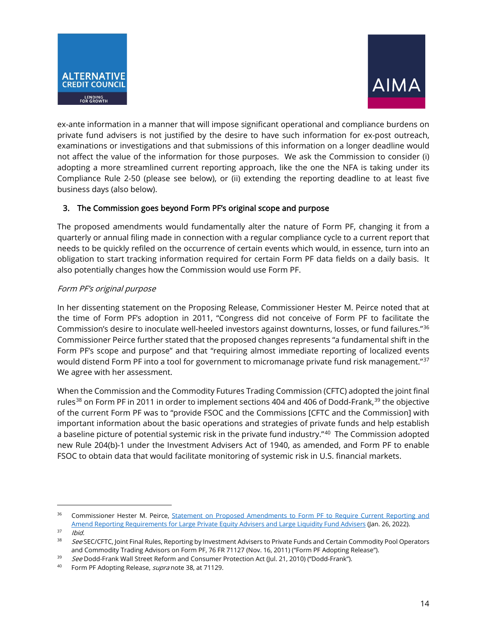



ex-ante information in a manner that will impose significant operational and compliance burdens on private fund advisers is not justified by the desire to have such information for ex-post outreach, examinations or investigations and that submissions of this information on a longer deadline would not affect the value of the information for those purposes. We ask the Commission to consider (i) adopting a more streamlined current reporting approach, like the one the NFA is taking under its Compliance Rule 2-50 (please see below), or (ii) extending the reporting deadline to at least five business days (also below).

# 3. The Commission goes beyond Form PF's original scope and purpose

The proposed amendments would fundamentally alter the nature of Form PF, changing it from a quarterly or annual filing made in connection with a regular compliance cycle to a current report that needs to be quickly refiled on the occurrence of certain events which would, in essence, turn into an obligation to start tracking information required for certain Form PF data fields on a daily basis. It also potentially changes how the Commission would use Form PF.

# Form PF's original purpose

In her dissenting statement on the Proposing Release, Commissioner Hester M. Peirce noted that at the time of Form PF's adoption in 2011, "Congress did not conceive of Form PF to facilitate the Commission's desire to inoculate well-heeled investors against downturns, losses, or fund failures."[36](#page-13-0) Commissioner Peirce further stated that the proposed changes represents "a fundamental shift in the Form PF's scope and purpose" and that "requiring almost immediate reporting of localized events would distend Form PF into a tool for government to micromanage private fund risk management."<sup>[37](#page-13-1)</sup> We agree with her assessment.

When the Commission and the Commodity Futures Trading Commission (CFTC) adopted the joint final rules<sup>[38](#page-13-2)</sup> on Form PF in 2011 in order to implement sections 404 and 406 of Dodd-Frank,<sup>[39](#page-13-3)</sup> the objective of the current Form PF was to "provide FSOC and the Commissions [CFTC and the Commission] with important information about the basic operations and strategies of private funds and help establish a baseline picture of potential systemic risk in the private fund industry."<sup>40</sup> The Commission adopted new Rule 204(b)-1 under the Investment Advisers Act of 1940, as amended, and Form PF to enable FSOC to obtain data that would facilitate monitoring of systemic risk in U.S. financial markets.

<span id="page-13-0"></span><sup>&</sup>lt;sup>36</sup> Commissioner Hester M. Peirce, Statement on Proposed Amendments to Form PF to Require Current Reporting and [Amend Reporting Requirements for Large Private Equity Advisers and Large Liquidity Fund Advisers](https://www.sec.gov/news/statement/peirce-form-pf-20220122?utm_medium=email&utm_source=govdelivery) (Jan. 26, 2022).

<span id="page-13-1"></span> $37$  Ibid.

<span id="page-13-2"></span><sup>&</sup>lt;sup>38</sup> See SEC/CFTC, Joint Final Rules, Reporting by Investment Advisers to Private Funds and Certain Commodity Pool Operators and Commodity Trading Advisors on Form PF[, 76 FR 7](https://www.govinfo.gov/content/pkg/FR-2022-02-04/pdf/2021-27531.pdf)1127 (Nov. 16, 2011) ("Form PF Adopting Release").<br>39 See Dodd-Frank Wall Street Reform and Consumer Protection Act (Jul. 21, 2010) ("Dodd-Frank").

<span id="page-13-3"></span>

<span id="page-13-4"></span><sup>&</sup>lt;sup>40</sup> Form PF Adopting Release, *supra* note 38, at 71129.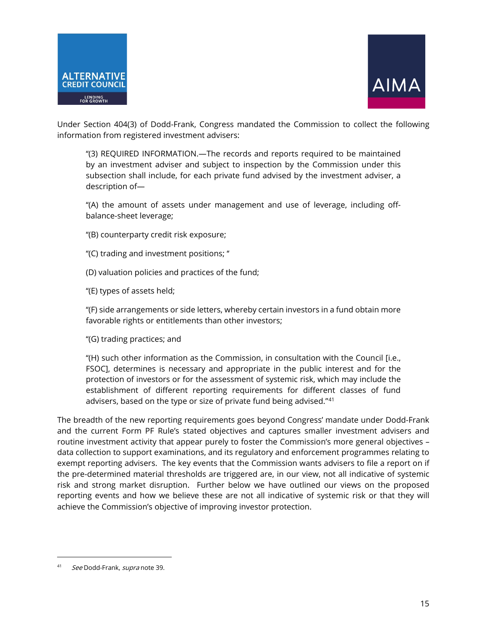



Under Section 404(3) of Dodd-Frank, Congress mandated the Commission to collect the following information from registered investment advisers:

''(3) REQUIRED INFORMATION.—The records and reports required to be maintained by an investment adviser and subject to inspection by the Commission under this subsection shall include, for each private fund advised by the investment adviser, a description of—

''(A) the amount of assets under management and use of leverage, including offbalance-sheet leverage;

''(B) counterparty credit risk exposure;

''(C) trading and investment positions; ''

(D) valuation policies and practices of the fund;

''(E) types of assets held;

''(F) side arrangements or side letters, whereby certain investors in a fund obtain more favorable rights or entitlements than other investors;

''(G) trading practices; and

''(H) such other information as the Commission, in consultation with the Council [i.e., FSOC], determines is necessary and appropriate in the public interest and for the protection of investors or for the assessment of systemic risk, which may include the establishment of different reporting requirements for different classes of fund advisers, based on the type or size of private fund being advised."[41](#page-14-0)

The breadth of the new reporting requirements goes beyond Congress' mandate under Dodd-Frank and the current Form PF Rule's stated objectives and captures smaller investment advisers and routine investment activity that appear purely to foster the Commission's more general objectives – data collection to support examinations, and its regulatory and enforcement programmes relating to exempt reporting advisers. The key events that the Commission wants advisers to file a report on if the pre-determined material thresholds are triggered are, in our view, not all indicative of systemic risk and strong market disruption. Further below we have outlined our views on the proposed reporting events and how we believe these are not all indicative of systemic risk or that they will achieve the Commission's objective of improving investor protection.

<span id="page-14-0"></span>See Dodd-Frank, supra note 39.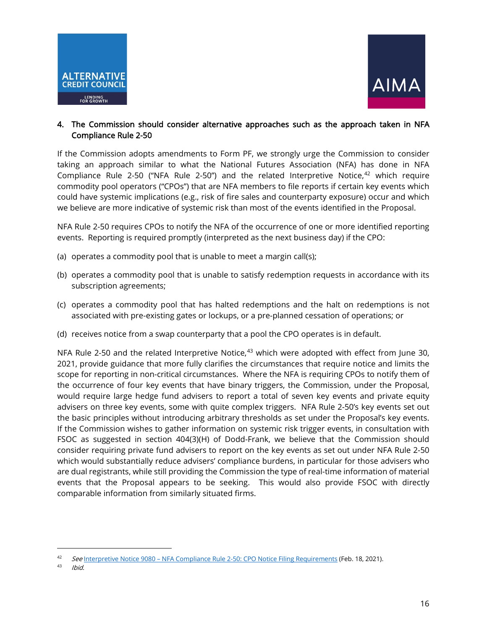



## 4. The Commission should consider alternative approaches such as the approach taken in NFA Compliance Rule 2-50

If the Commission adopts amendments to Form PF, we strongly urge the Commission to consider taking an approach similar to what the National Futures Association (NFA) has done in NFA Compliance Rule 2-50 ("NFA Rule 2-50") and the related Interpretive Notice, $42$  which require commodity pool operators ("CPOs") that are NFA members to file reports if certain key events which could have systemic implications (e.g., risk of fire sales and counterparty exposure) occur and which we believe are more indicative of systemic risk than most of the events identified in the Proposal.

NFA Rule 2-50 requires CPOs to notify the NFA of the occurrence of one or more identified reporting events. Reporting is required promptly (interpreted as the next business day) if the CPO:

- (a) operates a commodity pool that is unable to meet a margin call(s);
- (b) operates a commodity pool that is unable to satisfy redemption requests in accordance with its subscription agreements;
- (c) operates a commodity pool that has halted redemptions and the halt on redemptions is not associated with pre-existing gates or lockups, or a pre-planned cessation of operations; or
- (d) receives notice from a swap counterparty that a pool the CPO operates is in default.

NFA Rule 2-50 and the related Interpretive Notice, $43$  which were adopted with effect from June 30, 2021, provide guidance that more fully clarifies the circumstances that require notice and limits the scope for reporting in non-critical circumstances. Where the NFA is requiring CPOs to notify them of the occurrence of four key events that have binary triggers, the Commission, under the Proposal, would require large hedge fund advisers to report a total of seven key events and private equity advisers on three key events, some with quite complex triggers. NFA Rule 2-50's key events set out the basic principles without introducing arbitrary thresholds as set under the Proposal's key events. If the Commission wishes to gather information on systemic risk trigger events, in consultation with FSOC as suggested in section 404(3)(H) of Dodd-Frank, we believe that the Commission should consider requiring private fund advisers to report on the key events as set out under NFA Rule 2-50 which would substantially reduce advisers' compliance burdens, in particular for those advisers who are dual registrants, while still providing the Commission the type of real-time information of material events that the Proposal appears to be seeking. This would also provide FSOC with directly comparable information from similarly situated firms.

<span id="page-15-0"></span><sup>42</sup> See Interpretive Notice 9080 - NFA Compliance Rule 2-50: CPO Notice Filing Requirements (Feb. 18, 2021).

<span id="page-15-1"></span><sup>43</sup> Ibid.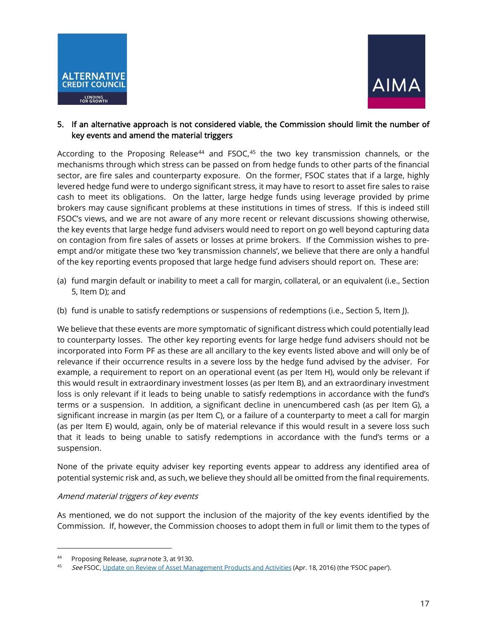



## 5. If an alternative approach is not considered viable, the Commission should limit the number of key events and amend the material triggers

According to the Proposing Release $^{44}$  $^{44}$  $^{44}$  and FSOC, $^{45}$  $^{45}$  $^{45}$  the two key transmission channels, or the mechanisms through which stress can be passed on from hedge funds to other parts of the financial sector, are fire sales and counterparty exposure. On the former, FSOC states that if a large, highly levered hedge fund were to undergo significant stress, it may have to resort to asset fire sales to raise cash to meet its obligations. On the latter, large hedge funds using leverage provided by prime brokers may cause significant problems at these institutions in times of stress. If this is indeed still FSOC's views, and we are not aware of any more recent or relevant discussions showing otherwise, the key events that large hedge fund advisers would need to report on go well beyond capturing data on contagion from fire sales of assets or losses at prime brokers. If the Commission wishes to preempt and/or mitigate these two 'key transmission channels', we believe that there are only a handful of the key reporting events proposed that large hedge fund advisers should report on. These are:

- (a) fund margin default or inability to meet a call for margin, collateral, or an equivalent (i.e., Section 5, Item D); and
- (b) fund is unable to satisfy redemptions or suspensions of redemptions (i.e., Section 5, Item J).

We believe that these events are more symptomatic of significant distress which could potentially lead to counterparty losses. The other key reporting events for large hedge fund advisers should not be incorporated into Form PF as these are all ancillary to the key events listed above and will only be of relevance if their occurrence results in a severe loss by the hedge fund advised by the adviser. For example, a requirement to report on an operational event (as per Item H), would only be relevant if this would result in extraordinary investment losses (as per Item B), and an extraordinary investment loss is only relevant if it leads to being unable to satisfy redemptions in accordance with the fund's terms or a suspension. In addition, a significant decline in unencumbered cash (as per Item G), a significant increase in margin (as per Item C), or a failure of a counterparty to meet a call for margin (as per Item E) would, again, only be of material relevance if this would result in a severe loss such that it leads to being unable to satisfy redemptions in accordance with the fund's terms or a suspension.

None of the private equity adviser key reporting events appear to address any identified area of potential systemic risk and, as such, we believe they should all be omitted from the final requirements.

## Amend material triggers of key events

As mentioned, we do not support the inclusion of the majority of the key events identified by the Commission. If, however, the Commission chooses to adopt them in full or limit them to the types of

<span id="page-16-0"></span><sup>44</sup> Proposing Release, *supra* note 3, at 9130.

<span id="page-16-1"></span>See FSOC[, Update on Review of Asset Management Products and Activities](https://www.treasury.gov/initiatives/fsoc/news/Documents/FSOC%20Update%20on%20Review%20of%20Asset%20Management%20Products%20and%20Activities.pdf) (Apr. 18, 2016) (the 'FSOC paper').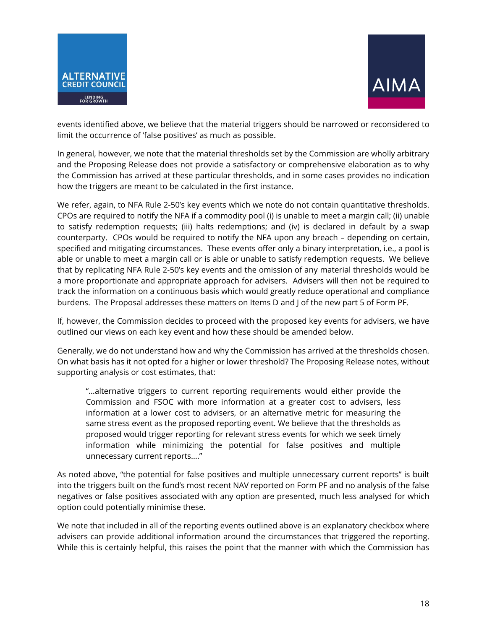



events identified above, we believe that the material triggers should be narrowed or reconsidered to limit the occurrence of 'false positives' as much as possible.

In general, however, we note that the material thresholds set by the Commission are wholly arbitrary and the Proposing Release does not provide a satisfactory or comprehensive elaboration as to why the Commission has arrived at these particular thresholds, and in some cases provides no indication how the triggers are meant to be calculated in the first instance.

We refer, again, to NFA Rule 2-50's key events which we note do not contain quantitative thresholds. CPOs are required to notify the NFA if a commodity pool (i) is unable to meet a margin call; (ii) unable to satisfy redemption requests; (iii) halts redemptions; and (iv) is declared in default by a swap counterparty. CPOs would be required to notify the NFA upon any breach – depending on certain, specified and mitigating circumstances. These events offer only a binary interpretation, i.e., a pool is able or unable to meet a margin call or is able or unable to satisfy redemption requests. We believe that by replicating NFA Rule 2-50's key events and the omission of any material thresholds would be a more proportionate and appropriate approach for advisers. Advisers will then not be required to track the information on a continuous basis which would greatly reduce operational and compliance burdens. The Proposal addresses these matters on Items D and J of the new part 5 of Form PF.

If, however, the Commission decides to proceed with the proposed key events for advisers, we have outlined our views on each key event and how these should be amended below.

Generally, we do not understand how and why the Commission has arrived at the thresholds chosen. On what basis has it not opted for a higher or lower threshold? The Proposing Release notes, without supporting analysis or cost estimates, that:

"…alternative triggers to current reporting requirements would either provide the Commission and FSOC with more information at a greater cost to advisers, less information at a lower cost to advisers, or an alternative metric for measuring the same stress event as the proposed reporting event. We believe that the thresholds as proposed would trigger reporting for relevant stress events for which we seek timely information while minimizing the potential for false positives and multiple unnecessary current reports…."

As noted above, "the potential for false positives and multiple unnecessary current reports" is built into the triggers built on the fund's most recent NAV reported on Form PF and no analysis of the false negatives or false positives associated with any option are presented, much less analysed for which option could potentially minimise these.

We note that included in all of the reporting events outlined above is an explanatory checkbox where advisers can provide additional information around the circumstances that triggered the reporting. While this is certainly helpful, this raises the point that the manner with which the Commission has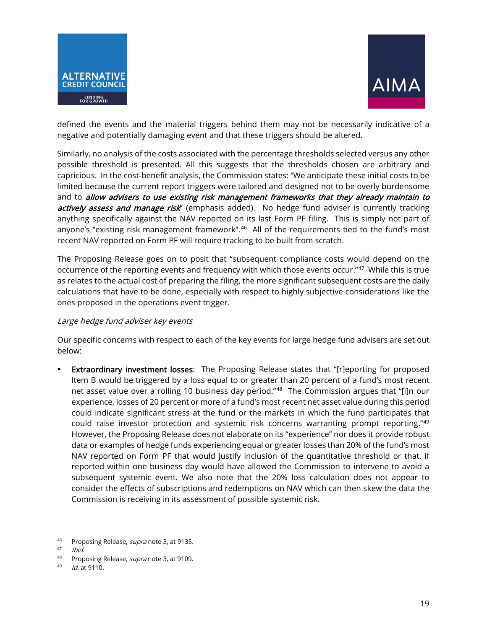



defined the events and the material triggers behind them may not be necessarily indicative of a negative and potentially damaging event and that these triggers should be altered.

Similarly, no analysis of the costs associated with the percentage thresholds selected versus any other possible threshold is presented. All this suggests that the thresholds chosen are arbitrary and capricious. In the cost-benefit analysis, the Commission states: "We anticipate these initial costs to be limited because the current report triggers were tailored and designed not to be overly burdensome and to allow advisers to use existing risk management frameworks that they already maintain to actively assess and manage risk" (emphasis added). No hedge fund adviser is currently tracking anything specifically against the NAV reported on its last Form PF filing. This is simply not part of anyone's "existing risk management framework".<sup>46</sup> All of the requirements tied to the fund's most recent NAV reported on Form PF will require tracking to be built from scratch.

The Proposing Release goes on to posit that "subsequent compliance costs would depend on the occurrence of the reporting events and frequency with which those events occur."[47](#page-18-1) While this is true as relates to the actual cost of preparing the filing, the more significant subsequent costs are the daily calculations that have to be done, especially with respect to highly subjective considerations like the ones proposed in the operations event trigger.

#### Large hedge fund adviser key events

Our specific concerns with respect to each of the key events for large hedge fund advisers are set out below:

**Extraordinary investment losses:** The Proposing Release states that "[r]eporting for proposed Item B would be triggered by a loss equal to or greater than 20 percent of a fund's most recent net asset value over a rolling 10 business day period."<sup>[48](#page-18-2)</sup> The Commission argues that "[i]n our experience, losses of 20 percent or more of a fund's most recent net asset value during this period could indicate significant stress at the fund or the markets in which the fund participates that could raise investor protection and systemic risk concerns warranting prompt reporting."[49](#page-18-3) However, the Proposing Release does not elaborate on its "experience" nor does it provide robust data or examples of hedge funds experiencing equal or greater losses than 20% of the fund's most NAV reported on Form PF that would justify inclusion of the quantitative threshold or that, if reported within one business day would have allowed the Commission to intervene to avoid a subsequent systemic event. We also note that the 20% loss calculation does not appear to consider the effects of subscriptions and redemptions on NAV which can then skew the data the Commission is receiving in its assessment of possible systemic risk.

<span id="page-18-0"></span><sup>&</sup>lt;sup>46</sup> Proposing Release, *supra* note 3, at 9135.

<span id="page-18-2"></span><span id="page-18-1"></span>

<sup>&</sup>lt;sup>47</sup> *Ibid.*<br><sup>48</sup> Proposing Release, *supra* note 3, at 9109.<br><sup>49</sup> *Id.* at 9110.

<span id="page-18-3"></span>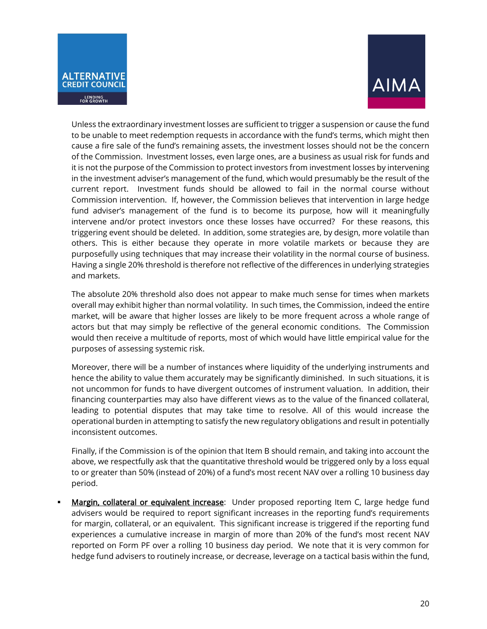



Unless the extraordinary investment losses are sufficient to trigger a suspension or cause the fund to be unable to meet redemption requests in accordance with the fund's terms, which might then cause a fire sale of the fund's remaining assets, the investment losses should not be the concern of the Commission. Investment losses, even large ones, are a business as usual risk for funds and it is not the purpose of the Commission to protect investors from investment losses by intervening in the investment adviser's management of the fund, which would presumably be the result of the current report. Investment funds should be allowed to fail in the normal course without Commission intervention. If, however, the Commission believes that intervention in large hedge fund adviser's management of the fund is to become its purpose, how will it meaningfully intervene and/or protect investors once these losses have occurred? For these reasons, this triggering event should be deleted. In addition, some strategies are, by design, more volatile than others. This is either because they operate in more volatile markets or because they are purposefully using techniques that may increase their volatility in the normal course of business. Having a single 20% threshold is therefore not reflective of the differences in underlying strategies and markets.

The absolute 20% threshold also does not appear to make much sense for times when markets overall may exhibit higher than normal volatility. In such times, the Commission, indeed the entire market, will be aware that higher losses are likely to be more frequent across a whole range of actors but that may simply be reflective of the general economic conditions. The Commission would then receive a multitude of reports, most of which would have little empirical value for the purposes of assessing systemic risk.

Moreover, there will be a number of instances where liquidity of the underlying instruments and hence the ability to value them accurately may be significantly diminished. In such situations, it is not uncommon for funds to have divergent outcomes of instrument valuation. In addition, their financing counterparties may also have different views as to the value of the financed collateral, leading to potential disputes that may take time to resolve. All of this would increase the operational burden in attempting to satisfy the new regulatory obligations and result in potentially inconsistent outcomes.

Finally, if the Commission is of the opinion that Item B should remain, and taking into account the above, we respectfully ask that the quantitative threshold would be triggered only by a loss equal to or greater than 50% (instead of 20%) of a fund's most recent NAV over a rolling 10 business day period.

Margin, collateral or equivalent increase: Under proposed reporting Item C, large hedge fund advisers would be required to report significant increases in the reporting fund's requirements for margin, collateral, or an equivalent. This significant increase is triggered if the reporting fund experiences a cumulative increase in margin of more than 20% of the fund's most recent NAV reported on Form PF over a rolling 10 business day period. We note that it is very common for hedge fund advisers to routinely increase, or decrease, leverage on a tactical basis within the fund,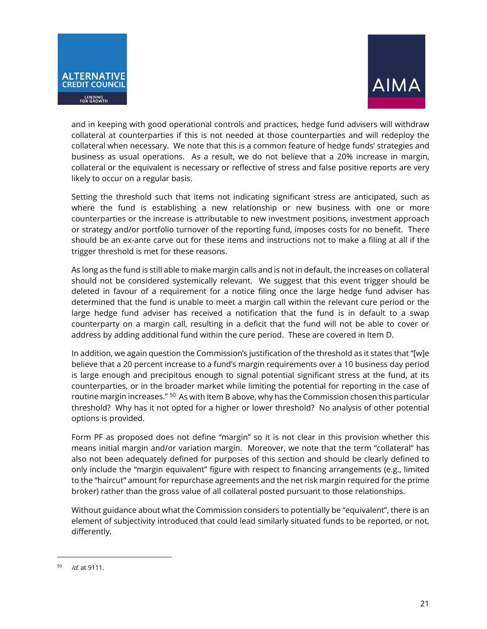



and in keeping with good operational controls and practices, hedge fund advisers will withdraw collateral at counterparties if this is not needed at those counterparties and will redeploy the collateral when necessary. We note that this is a common feature of hedge funds' strategies and business as usual operations. As a result, we do not believe that a 20% increase in margin, collateral or the equivalent is necessary or reflective of stress and false positive reports are very likely to occur on a regular basis.

Setting the threshold such that items not indicating significant stress are anticipated, such as where the fund is establishing a new relationship or new business with one or more counterparties or the increase is attributable to new investment positions, investment approach or strategy and/or portfolio turnover of the reporting fund, imposes costs for no benefit. There should be an ex-ante carve out for these items and instructions not to make a filing at all if the trigger threshold is met for these reasons.

As long as the fund is still able to make margin calls and is not in default, the increases on collateral should not be considered systemically relevant. We suggest that this event trigger should be deleted in favour of a requirement for a notice filing once the large hedge fund adviser has determined that the fund is unable to meet a margin call within the relevant cure period or the large hedge fund adviser has received a notification that the fund is in default to a swap counterparty on a margin call, resulting in a deficit that the fund will not be able to cover or address by adding additional fund within the cure period. These are covered in Item D.

In addition, we again question the Commission's justification of the threshold as it states that "[w]e believe that a 20 percent increase to a fund's margin requirements over a 10 business day period is large enough and precipitous enough to signal potential significant stress at the fund, at its counterparties, or in the broader market while limiting the potential for reporting in the case of routine margin increases." <sup>[50](#page-20-0)</sup> As with Item B above, why has the Commission chosen this particular threshold? Why has it not opted for a higher or lower threshold? No analysis of other potential options is provided.

Form PF as proposed does not define "margin" so it is not clear in this provision whether this means initial margin and/or variation margin. Moreover, we note that the term "collateral" has also not been adequately defined for purposes of this section and should be clearly defined to only include the "margin equivalent" figure with respect to financing arrangements (e.g., limited to the "haircut" amount for repurchase agreements and the net risk margin required for the prime broker) rather than the gross value of all collateral posted pursuant to those relationships.

Without guidance about what the Commission considers to potentially be "equivalent", there is an element of subjectivity introduced that could lead similarly situated funds to be reported, or not, differently.

<span id="page-20-0"></span>Id. at 9111.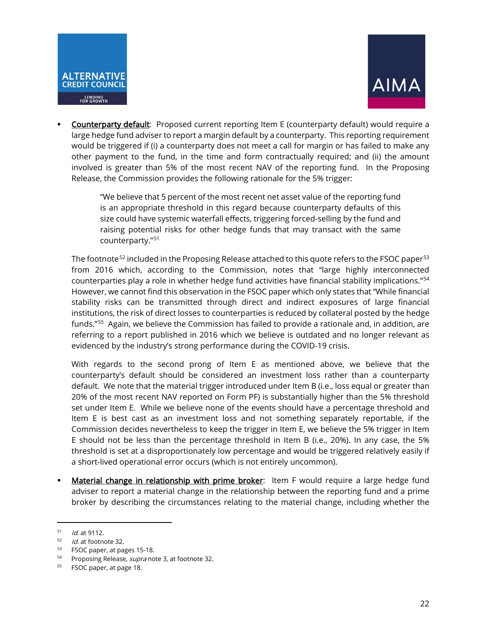



Counterparty default: Proposed current reporting Item E (counterparty default) would require a large hedge fund adviser to report a margin default by a counterparty. This reporting requirement would be triggered if (i) a counterparty does not meet a call for margin or has failed to make any other payment to the fund, in the time and form contractually required; and (ii) the amount involved is greater than 5% of the most recent NAV of the reporting fund. In the Proposing Release, the Commission provides the following rationale for the 5% trigger:

> "We believe that 5 percent of the most recent net asset value of the reporting fund is an appropriate threshold in this regard because counterparty defaults of this size could have systemic waterfall effects, triggering forced-selling by the fund and raising potential risks for other hedge funds that may transact with the same counterparty."[51](#page-21-0)

The footnote<sup>52</sup> included in the Proposing Release attached to this quote refers to the FSOC paper<sup>[53](#page-21-2)</sup> from 2016 which, according to the Commission, notes that "large highly interconnected counterparties play a role in whether hedge fund activities have financial stability implications."[54](#page-21-3) However, we cannot find this observation in the FSOC paper which only states that "While financial stability risks can be transmitted through direct and indirect exposures of large financial institutions, the risk of direct losses to counterparties is reduced by collateral posted by the hedge funds."<sup>55</sup> Again, we believe the Commission has failed to provide a rationale and, in addition, are referring to a report published in 2016 which we believe is outdated and no longer relevant as evidenced by the industry's strong performance during the COVID-19 crisis.

With regards to the second prong of Item E as mentioned above, we believe that the counterparty's default should be considered an investment loss rather than a counterparty default. We note that the material trigger introduced under Item B (i.e., loss equal or greater than 20% of the most recent NAV reported on Form PF) is substantially higher than the 5% threshold set under Item E. While we believe none of the events should have a percentage threshold and Item E is best cast as an investment loss and not something separately reportable, if the Commission decides nevertheless to keep the trigger in Item E, we believe the 5% trigger in Item E should not be less than the percentage threshold in Item B (i.e., 20%). In any case, the 5% threshold is set at a disproportionately low percentage and would be triggered relatively easily if a short-lived operational error occurs (which is not entirely uncommon).

Material change in relationship with prime broker: Item F would require a large hedge fund adviser to report a material change in the relationship between the reporting fund and a prime broker by describing the circumstances relating to the material change, including whether the

<span id="page-21-0"></span> $1/10$ . at 9112.

<span id="page-21-1"></span> $1/2$  *Id.* at footnote 32.

<span id="page-21-3"></span><span id="page-21-2"></span><sup>&</sup>lt;sup>53</sup> FSOC paper, at pages 15-18.<br><sup>54</sup> Proposing Release, *supra* note 3, at footnote 32.

<span id="page-21-4"></span><sup>55</sup> FSOC paper, at page 18.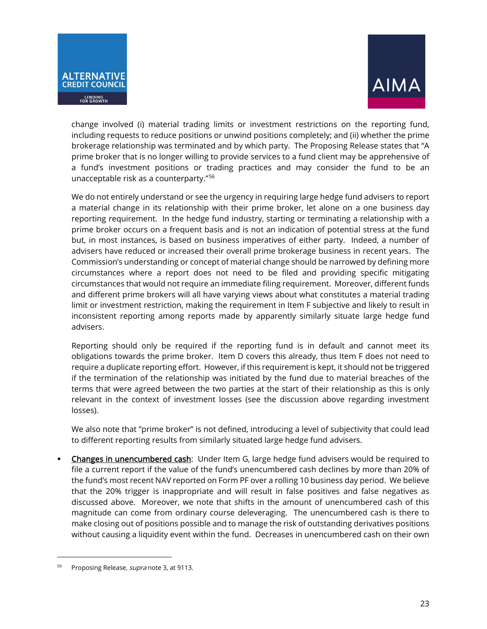



change involved (i) material trading limits or investment restrictions on the reporting fund, including requests to reduce positions or unwind positions completely; and (ii) whether the prime brokerage relationship was terminated and by which party. The Proposing Release states that "A prime broker that is no longer willing to provide services to a fund client may be apprehensive of a fund's investment positions or trading practices and may consider the fund to be an unacceptable risk as a counterparty."[56](#page-22-0)

We do not entirely understand or see the urgency in requiring large hedge fund advisers to report a material change in its relationship with their prime broker, let alone on a one business day reporting requirement. In the hedge fund industry, starting or terminating a relationship with a prime broker occurs on a frequent basis and is not an indication of potential stress at the fund but, in most instances, is based on business imperatives of either party. Indeed, a number of advisers have reduced or increased their overall prime brokerage business in recent years. The Commission's understanding or concept of material change should be narrowed by defining more circumstances where a report does not need to be filed and providing specific mitigating circumstances that would not require an immediate filing requirement. Moreover, different funds and different prime brokers will all have varying views about what constitutes a material trading limit or investment restriction, making the requirement in Item F subjective and likely to result in inconsistent reporting among reports made by apparently similarly situate large hedge fund advisers.

Reporting should only be required if the reporting fund is in default and cannot meet its obligations towards the prime broker. Item D covers this already, thus Item F does not need to require a duplicate reporting effort. However, if this requirement is kept, it should not be triggered if the termination of the relationship was initiated by the fund due to material breaches of the terms that were agreed between the two parties at the start of their relationship as this is only relevant in the context of investment losses (see the discussion above regarding investment losses).

We also note that "prime broker" is not defined, introducing a level of subjectivity that could lead to different reporting results from similarly situated large hedge fund advisers.

 Changes in unencumbered cash: Under Item G, large hedge fund advisers would be required to file a current report if the value of the fund's unencumbered cash declines by more than 20% of the fund's most recent NAV reported on Form PF over a rolling 10 business day period. We believe that the 20% trigger is inappropriate and will result in false positives and false negatives as discussed above. Moreover, we note that shifts in the amount of unencumbered cash of this magnitude can come from ordinary course deleveraging. The unencumbered cash is there to make closing out of positions possible and to manage the risk of outstanding derivatives positions without causing a liquidity event within the fund. Decreases in unencumbered cash on their own

<span id="page-22-0"></span>Proposing Release, supra note 3, at 9113.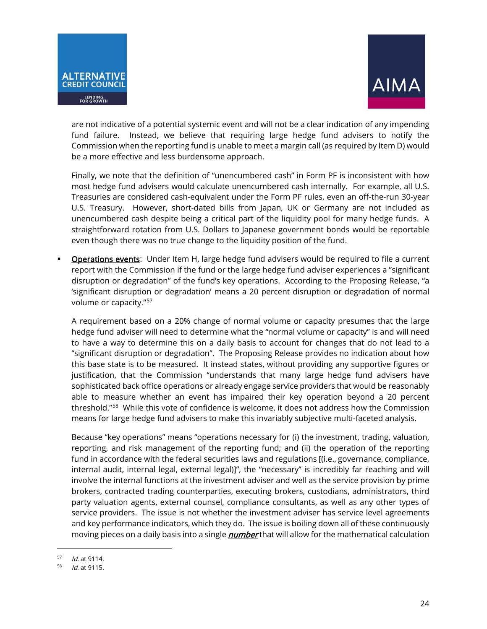



are not indicative of a potential systemic event and will not be a clear indication of any impending fund failure. Instead, we believe that requiring large hedge fund advisers to notify the Commission when the reporting fund is unable to meet a margin call (as required by Item D) would be a more effective and less burdensome approach.

Finally, we note that the definition of "unencumbered cash" in Form PF is inconsistent with how most hedge fund advisers would calculate unencumbered cash internally. For example, all U.S. Treasuries are considered cash-equivalent under the Form PF rules, even an off-the-run 30-year U.S. Treasury. However, short-dated bills from Japan, UK or Germany are not included as unencumbered cash despite being a critical part of the liquidity pool for many hedge funds. A straightforward rotation from U.S. Dollars to Japanese government bonds would be reportable even though there was no true change to the liquidity position of the fund.

 Operations events: Under Item H, large hedge fund advisers would be required to file a current report with the Commission if the fund or the large hedge fund adviser experiences a "significant disruption or degradation" of the fund's key operations. According to the Proposing Release, "a 'significant disruption or degradation' means a 20 percent disruption or degradation of normal volume or capacity."[57](#page-23-0) 

A requirement based on a 20% change of normal volume or capacity presumes that the large hedge fund adviser will need to determine what the "normal volume or capacity" is and will need to have a way to determine this on a daily basis to account for changes that do not lead to a "significant disruption or degradation". The Proposing Release provides no indication about how this base state is to be measured. It instead states, without providing any supportive figures or justification, that the Commission "understands that many large hedge fund advisers have sophisticated back office operations or already engage service providers that would be reasonably able to measure whether an event has impaired their key operation beyond a 20 percent threshold."[58](#page-23-1) While this vote of confidence is welcome, it does not address how the Commission means for large hedge fund advisers to make this invariably subjective multi-faceted analysis.

Because "key operations" means "operations necessary for (i) the investment, trading, valuation, reporting, and risk management of the reporting fund; and (ii) the operation of the reporting fund in accordance with the federal securities laws and regulations [(i.e., governance, compliance, internal audit, internal legal, external legal)]", the "necessary" is incredibly far reaching and will involve the internal functions at the investment adviser and well as the service provision by prime brokers, contracted trading counterparties, executing brokers, custodians, administrators, third party valuation agents, external counsel, compliance consultants, as well as any other types of service providers. The issue is not whether the investment adviser has service level agreements and key performance indicators, which they do. The issue is boiling down all of these continuously moving pieces on a daily basis into a single *number* that will allow for the mathematical calculation

<span id="page-23-0"></span> $1/2$  *Id.* at 9114.

<span id="page-23-1"></span>Id. at 9115.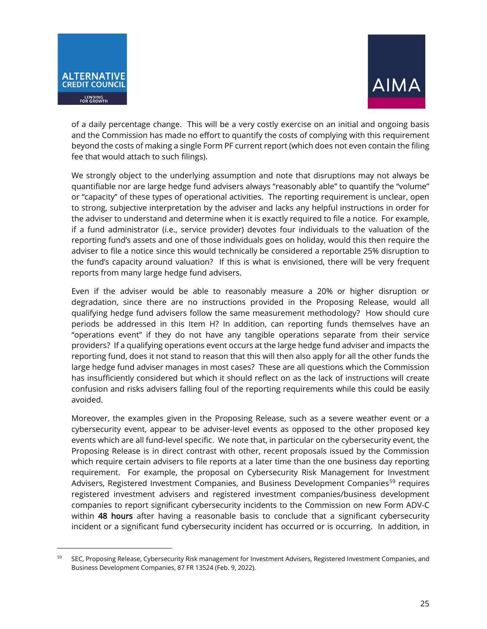



of a daily percentage change. This will be a very costly exercise on an initial and ongoing basis and the Commission has made no effort to quantify the costs of complying with this requirement beyond the costs of making a single Form PF current report (which does not even contain the filing fee that would attach to such filings).

We strongly object to the underlying assumption and note that disruptions may not always be quantifiable nor are large hedge fund advisers always "reasonably able" to quantify the "volume" or "capacity" of these types of operational activities. The reporting requirement is unclear, open to strong, subjective interpretation by the adviser and lacks any helpful instructions in order for the adviser to understand and determine when it is exactly required to file a notice. For example, if a fund administrator (i.e., service provider) devotes four individuals to the valuation of the reporting fund's assets and one of those individuals goes on holiday, would this then require the adviser to file a notice since this would technically be considered a reportable 25% disruption to the fund's capacity around valuation? If this is what is envisioned, there will be very frequent reports from many large hedge fund advisers.

Even if the adviser would be able to reasonably measure a 20% or higher disruption or degradation, since there are no instructions provided in the Proposing Release, would all qualifying hedge fund advisers follow the same measurement methodology? How should cure periods be addressed in this Item H? In addition, can reporting funds themselves have an "operations event" if they do not have any tangible operations separate from their service providers? If a qualifying operations event occurs at the large hedge fund adviser and impacts the reporting fund, does it not stand to reason that this will then also apply for all the other funds the large hedge fund adviser manages in most cases? These are all questions which the Commission has insufficiently considered but which it should reflect on as the lack of instructions will create confusion and risks advisers falling foul of the reporting requirements while this could be easily avoided.

Moreover, the examples given in the Proposing Release, such as a severe weather event or a cybersecurity event, appear to be adviser-level events as opposed to the other proposed key events which are all fund-level specific. We note that, in particular on the cybersecurity event, the Proposing Release is in direct contrast with other, recent proposals issued by the Commission which require certain advisers to file reports at a later time than the one business day reporting requirement. For example, the proposal on Cybersecurity Risk Management for Investment Advisers, Registered Investment Companies, and Business Development Companies<sup>[59](#page-24-0)</sup> requires registered investment advisers and registered investment companies/business development companies to report significant cybersecurity incidents to the Commission on new Form ADV-C within 48 hours after having a reasonable basis to conclude that a significant cybersecurity incident or a significant fund cybersecurity incident has occurred or is occurring. In addition, in

<span id="page-24-0"></span><sup>59</sup> SEC, Proposing Release, Cybersecurity Risk management for Investment Advisers, Registered Investment Companies, and Business Development Companies, 87 FR 13524 (Feb. 9, 2022).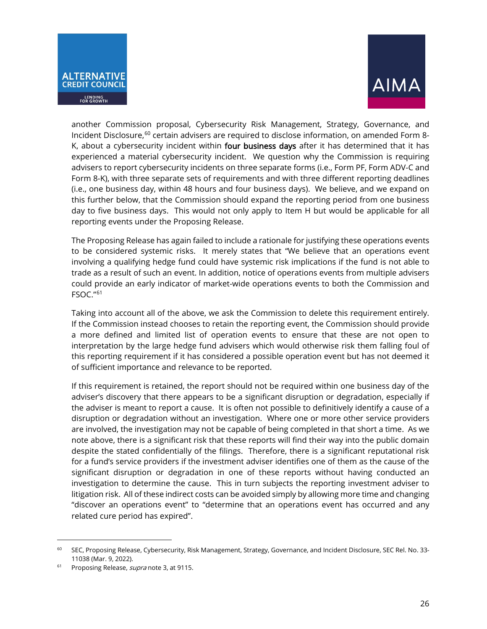



another Commission proposal, Cybersecurity Risk Management, Strategy, Governance, and Incident Disclosure, [60](#page-25-0) certain advisers are required to disclose information, on amended Form 8- K, about a cybersecurity incident within four business days after it has determined that it has experienced a material cybersecurity incident. We question why the Commission is requiring advisers to report cybersecurity incidents on three separate forms (i.e., Form PF, Form ADV-C and Form 8-K), with three separate sets of requirements and with three different reporting deadlines (i.e., one business day, within 48 hours and four business days). We believe, and we expand on this further below, that the Commission should expand the reporting period from one business day to five business days. This would not only apply to Item H but would be applicable for all reporting events under the Proposing Release.

The Proposing Release has again failed to include a rationale for justifying these operations events to be considered systemic risks. It merely states that "We believe that an operations event involving a qualifying hedge fund could have systemic risk implications if the fund is not able to trade as a result of such an event. In addition, notice of operations events from multiple advisers could provide an early indicator of market-wide operations events to both the Commission and FSOC."[61](#page-25-1)

Taking into account all of the above, we ask the Commission to delete this requirement entirely. If the Commission instead chooses to retain the reporting event, the Commission should provide a more defined and limited list of operation events to ensure that these are not open to interpretation by the large hedge fund advisers which would otherwise risk them falling foul of this reporting requirement if it has considered a possible operation event but has not deemed it of sufficient importance and relevance to be reported.

If this requirement is retained, the report should not be required within one business day of the adviser's discovery that there appears to be a significant disruption or degradation, especially if the adviser is meant to report a cause. It is often not possible to definitively identify a cause of a disruption or degradation without an investigation. Where one or more other service providers are involved, the investigation may not be capable of being completed in that short a time. As we note above, there is a significant risk that these reports will find their way into the public domain despite the stated confidentially of the filings. Therefore, there is a significant reputational risk for a fund's service providers if the investment adviser identifies one of them as the cause of the significant disruption or degradation in one of these reports without having conducted an investigation to determine the cause. This in turn subjects the reporting investment adviser to litigation risk. All of these indirect costs can be avoided simply by allowing more time and changing "discover an operations event" to "determine that an operations event has occurred and any related cure period has expired".

<span id="page-25-0"></span><sup>&</sup>lt;sup>60</sup> SEC, Proposing Release, Cybersecurity, Risk Management, Strategy, Governance, and Incident Disclosure, SEC Rel. No. 33-11038 (Mar. 9, 2022).

<span id="page-25-1"></span><sup>&</sup>lt;sup>61</sup> Proposing Release, *supra* note 3, at 9115.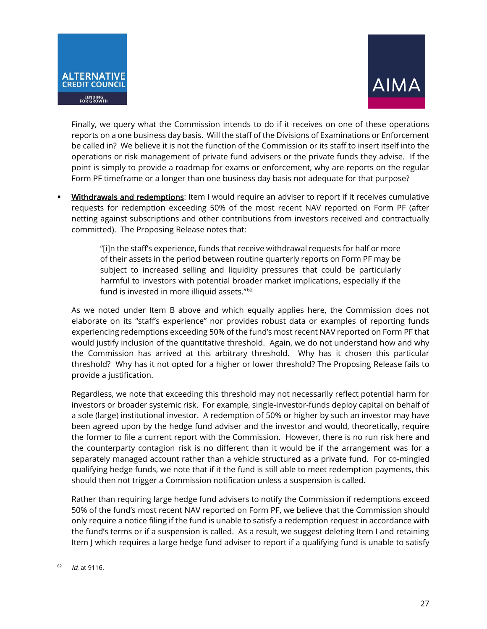



Finally, we query what the Commission intends to do if it receives on one of these operations reports on a one business day basis. Will the staff of the Divisions of Examinations or Enforcement be called in? We believe it is not the function of the Commission or its staff to insert itself into the operations or risk management of private fund advisers or the private funds they advise. If the point is simply to provide a roadmap for exams or enforcement, why are reports on the regular Form PF timeframe or a longer than one business day basis not adequate for that purpose?

Withdrawals and redemptions: Item I would require an adviser to report if it receives cumulative requests for redemption exceeding 50% of the most recent NAV reported on Form PF (after netting against subscriptions and other contributions from investors received and contractually committed). The Proposing Release notes that:

> "[i]n the staff's experience, funds that receive withdrawal requests for half or more of their assets in the period between routine quarterly reports on Form PF may be subject to increased selling and liquidity pressures that could be particularly harmful to investors with potential broader market implications, especially if the fund is invested in more illiquid assets."<sup>[62](#page-26-0)</sup>

As we noted under Item B above and which equally applies here, the Commission does not elaborate on its "staff's experience" nor provides robust data or examples of reporting funds experiencing redemptions exceeding 50% of the fund's most recent NAV reported on Form PF that would justify inclusion of the quantitative threshold. Again, we do not understand how and why the Commission has arrived at this arbitrary threshold. Why has it chosen this particular threshold? Why has it not opted for a higher or lower threshold? The Proposing Release fails to provide a justification.

Regardless, we note that exceeding this threshold may not necessarily reflect potential harm for investors or broader systemic risk. For example, single-investor-funds deploy capital on behalf of a sole (large) institutional investor. A redemption of 50% or higher by such an investor may have been agreed upon by the hedge fund adviser and the investor and would, theoretically, require the former to file a current report with the Commission. However, there is no run risk here and the counterparty contagion risk is no different than it would be if the arrangement was for a separately managed account rather than a vehicle structured as a private fund. For co-mingled qualifying hedge funds, we note that if it the fund is still able to meet redemption payments, this should then not trigger a Commission notification unless a suspension is called.

Rather than requiring large hedge fund advisers to notify the Commission if redemptions exceed 50% of the fund's most recent NAV reported on Form PF, we believe that the Commission should only require a notice filing if the fund is unable to satisfy a redemption request in accordance with the fund's terms or if a suspension is called. As a result, we suggest deleting Item I and retaining Item J which requires a large hedge fund adviser to report if a qualifying fund is unable to satisfy

<span id="page-26-0"></span> $16^{2}$  *Id.* at 9116.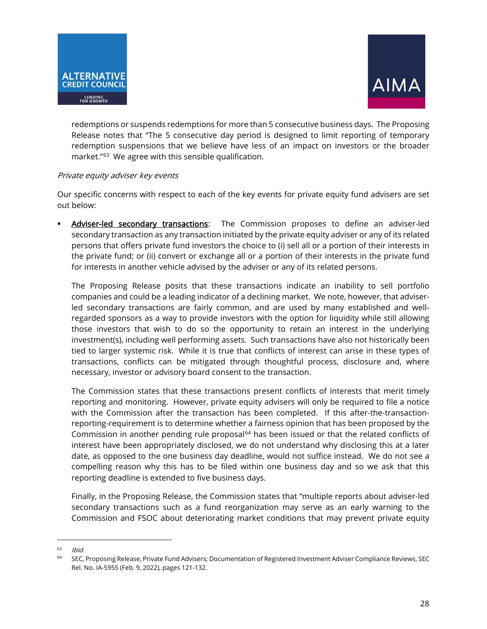



redemptions or suspends redemptions for more than 5 consecutive business days. The Proposing Release notes that "The 5 consecutive day period is designed to limit reporting of temporary redemption suspensions that we believe have less of an impact on investors or the broader market."[63](#page-27-0) We agree with this sensible qualification.

#### Private equity adviser key events

Our specific concerns with respect to each of the key events for private equity fund advisers are set out below:

 Adviser-led secondary transactions: The Commission proposes to define an adviser-led secondary transaction as any transaction initiated by the private equity adviser or any of its related persons that offers private fund investors the choice to (i) sell all or a portion of their interests in the private fund; or (ii) convert or exchange all or a portion of their interests in the private fund for interests in another vehicle advised by the adviser or any of its related persons.

The Proposing Release posits that these transactions indicate an inability to sell portfolio companies and could be a leading indicator of a declining market. We note, however, that adviserled secondary transactions are fairly common, and are used by many established and wellregarded sponsors as a way to provide investors with the option for liquidity while still allowing those investors that wish to do so the opportunity to retain an interest in the underlying investment(s), including well performing assets. Such transactions have also not historically been tied to larger systemic risk. While it is true that conflicts of interest can arise in these types of transactions, conflicts can be mitigated through thoughtful process, disclosure and, where necessary, investor or advisory board consent to the transaction.

The Commission states that these transactions present conflicts of interests that merit timely reporting and monitoring. However, private equity advisers will only be required to file a notice with the Commission after the transaction has been completed. If this after-the-transactionreporting-requirement is to determine whether a fairness opinion that has been proposed by the Commission in another pending rule proposal $64$  has been issued or that the related conflicts of interest have been appropriately disclosed, we do not understand why disclosing this at a later date, as opposed to the one business day deadline, would not suffice instead. We do not see a compelling reason why this has to be filed within one business day and so we ask that this reporting deadline is extended to five business days.

Finally, in the Proposing Release, the Commission states that "multiple reports about adviser-led secondary transactions such as a fund reorganization may serve as an early warning to the Commission and FSOC about deteriorating market conditions that may prevent private equity

<span id="page-27-1"></span><span id="page-27-0"></span><sup>&</sup>lt;sup>63</sup> *Ibid.*<br><sup>64</sup> SEC, Proposing Release, Private Fund Advisers; Documentation of Registered Investment Adviser Compliance Reviews, SEC Rel. No. IA-5955 (Feb. 9, 2022), pages 121-132.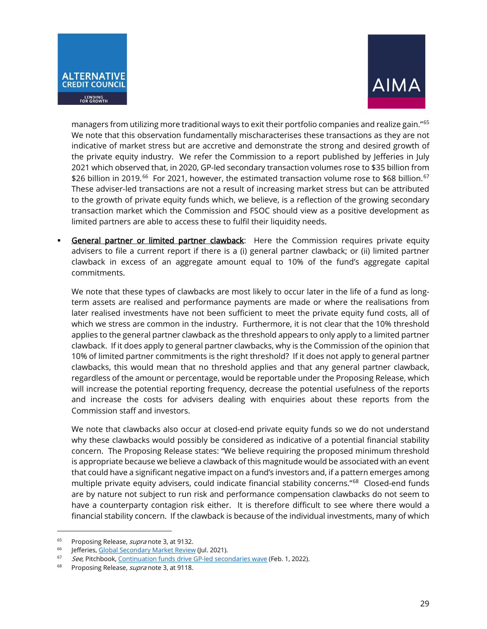



managers from utilizing more traditional ways to exit their portfolio companies and realize gain."[65](#page-28-0) We note that this observation fundamentally mischaracterises these transactions as they are not indicative of market stress but are accretive and demonstrate the strong and desired growth of the private equity industry. We refer the Commission to a report published by Jefferies in July 2021 which observed that, in 2020, GP-led secondary transaction volumes rose to \$35 billion from \$26 billion in 2019.<sup>[66](#page-28-1)</sup> For 2021, however, the estimated transaction volume rose to \$68 billion.<sup>[67](#page-28-2)</sup> These adviser-led transactions are not a result of increasing market stress but can be attributed to the growth of private equity funds which, we believe, is a reflection of the growing secondary transaction market which the Commission and FSOC should view as a positive development as limited partners are able to access these to fulfil their liquidity needs.

General partner or limited partner clawback: Here the Commission requires private equity advisers to file a current report if there is a (i) general partner clawback; or (ii) limited partner clawback in excess of an aggregate amount equal to 10% of the fund's aggregate capital commitments.

We note that these types of clawbacks are most likely to occur later in the life of a fund as longterm assets are realised and performance payments are made or where the realisations from later realised investments have not been sufficient to meet the private equity fund costs, all of which we stress are common in the industry. Furthermore, it is not clear that the 10% threshold applies to the general partner clawback as the threshold appears to only apply to a limited partner clawback. If it does apply to general partner clawbacks, why is the Commission of the opinion that 10% of limited partner commitments is the right threshold? If it does not apply to general partner clawbacks, this would mean that no threshold applies and that any general partner clawback, regardless of the amount or percentage, would be reportable under the Proposing Release, which will increase the potential reporting frequency, decrease the potential usefulness of the reports and increase the costs for advisers dealing with enquiries about these reports from the Commission staff and investors.

We note that clawbacks also occur at closed-end private equity funds so we do not understand why these clawbacks would possibly be considered as indicative of a potential financial stability concern. The Proposing Release states: "We believe requiring the proposed minimum threshold is appropriate because we believe a clawback of this magnitude would be associated with an event that could have a significant negative impact on a fund's investors and, if a pattern emerges among multiple private equity advisers, could indicate financial stability concerns."[68](#page-28-3) Closed-end funds are by nature not subject to run risk and performance compensation clawbacks do not seem to have a counterparty contagion risk either. It is therefore difficult to see where there would a financial stability concern. If the clawback is because of the individual investments, many of which

<span id="page-28-0"></span><sup>&</sup>lt;sup>65</sup> Proposing Release, *supra* note 3, at 9132.

<span id="page-28-2"></span><span id="page-28-1"></span><sup>&</sup>lt;sup>66</sup> Jefferies[, Global Secondary Market Review](https://www.jefferies.com/CMSFiles/Jefferies.com/Files/IBBlast/Jefferies-Global-Secondary-Market-Review.pdf) (Jul. 2021).<br><sup>67</sup> See, Pitchbook[, Continuation funds drive GP-led secondaries wave](https://pitchbook.com/news/articles/continuation-funds-GPs-secondaries-private-equity) (Feb. 1, 2022).

<span id="page-28-3"></span><sup>&</sup>lt;sup>68</sup> Proposing Release, *supra* note 3, at 9118.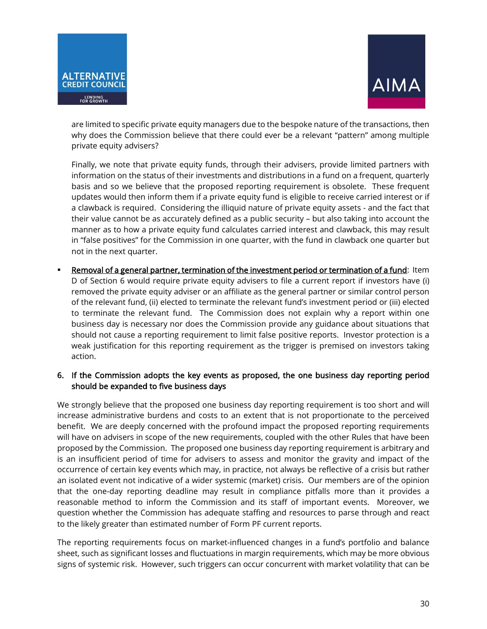



are limited to specific private equity managers due to the bespoke nature of the transactions, then why does the Commission believe that there could ever be a relevant "pattern" among multiple private equity advisers?

Finally, we note that private equity funds, through their advisers, provide limited partners with information on the status of their investments and distributions in a fund on a frequent, quarterly basis and so we believe that the proposed reporting requirement is obsolete. These frequent updates would then inform them if a private equity fund is eligible to receive carried interest or if a clawback is required. Considering the illiquid nature of private equity assets - and the fact that their value cannot be as accurately defined as a public security – but also taking into account the manner as to how a private equity fund calculates carried interest and clawback, this may result in "false positives" for the Commission in one quarter, with the fund in clawback one quarter but not in the next quarter.

 Removal of a general partner, termination of the investment period or termination of a fund: Item D of Section 6 would require private equity advisers to file a current report if investors have (i) removed the private equity adviser or an affiliate as the general partner or similar control person of the relevant fund, (ii) elected to terminate the relevant fund's investment period or (iii) elected to terminate the relevant fund. The Commission does not explain why a report within one business day is necessary nor does the Commission provide any guidance about situations that should not cause a reporting requirement to limit false positive reports. Investor protection is a weak justification for this reporting requirement as the trigger is premised on investors taking action.

## 6. If the Commission adopts the key events as proposed, the one business day reporting period should be expanded to five business days

We strongly believe that the proposed one business day reporting requirement is too short and will increase administrative burdens and costs to an extent that is not proportionate to the perceived benefit. We are deeply concerned with the profound impact the proposed reporting requirements will have on advisers in scope of the new requirements, coupled with the other Rules that have been proposed by the Commission. The proposed one business day reporting requirement is arbitrary and is an insufficient period of time for advisers to assess and monitor the gravity and impact of the occurrence of certain key events which may, in practice, not always be reflective of a crisis but rather an isolated event not indicative of a wider systemic (market) crisis. Our members are of the opinion that the one-day reporting deadline may result in compliance pitfalls more than it provides a reasonable method to inform the Commission and its staff of important events. Moreover, we question whether the Commission has adequate staffing and resources to parse through and react to the likely greater than estimated number of Form PF current reports.

The reporting requirements focus on market-influenced changes in a fund's portfolio and balance sheet, such as significant losses and fluctuations in margin requirements, which may be more obvious signs of systemic risk. However, such triggers can occur concurrent with market volatility that can be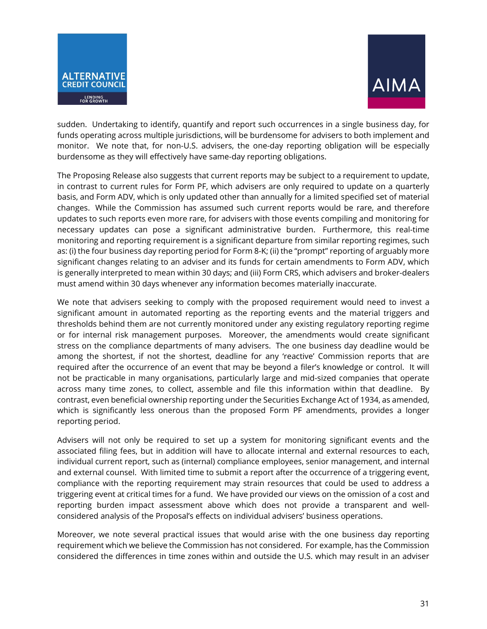



sudden. Undertaking to identify, quantify and report such occurrences in a single business day, for funds operating across multiple jurisdictions, will be burdensome for advisers to both implement and monitor. We note that, for non-U.S. advisers, the one-day reporting obligation will be especially burdensome as they will effectively have same-day reporting obligations.

The Proposing Release also suggests that current reports may be subject to a requirement to update, in contrast to current rules for Form PF, which advisers are only required to update on a quarterly basis, and Form ADV, which is only updated other than annually for a limited specified set of material changes. While the Commission has assumed such current reports would be rare, and therefore updates to such reports even more rare, for advisers with those events compiling and monitoring for necessary updates can pose a significant administrative burden. Furthermore, this real-time monitoring and reporting requirement is a significant departure from similar reporting regimes, such as: (i) the four business day reporting period for Form 8-K; (ii) the "prompt" reporting of arguably more significant changes relating to an adviser and its funds for certain amendments to Form ADV, which is generally interpreted to mean within 30 days; and (iii) Form CRS, which advisers and broker-dealers must amend within 30 days whenever any information becomes materially inaccurate.

We note that advisers seeking to comply with the proposed requirement would need to invest a significant amount in automated reporting as the reporting events and the material triggers and thresholds behind them are not currently monitored under any existing regulatory reporting regime or for internal risk management purposes. Moreover, the amendments would create significant stress on the compliance departments of many advisers. The one business day deadline would be among the shortest, if not the shortest, deadline for any 'reactive' Commission reports that are required after the occurrence of an event that may be beyond a filer's knowledge or control. It will not be practicable in many organisations, particularly large and mid-sized companies that operate across many time zones, to collect, assemble and file this information within that deadline. By contrast, even beneficial ownership reporting under the Securities Exchange Act of 1934, as amended, which is significantly less onerous than the proposed Form PF amendments, provides a longer reporting period.

Advisers will not only be required to set up a system for monitoring significant events and the associated filing fees, but in addition will have to allocate internal and external resources to each, individual current report, such as (internal) compliance employees, senior management, and internal and external counsel. With limited time to submit a report after the occurrence of a triggering event, compliance with the reporting requirement may strain resources that could be used to address a triggering event at critical times for a fund. We have provided our views on the omission of a cost and reporting burden impact assessment above which does not provide a transparent and wellconsidered analysis of the Proposal's effects on individual advisers' business operations.

Moreover, we note several practical issues that would arise with the one business day reporting requirement which we believe the Commission has not considered. For example, has the Commission considered the differences in time zones within and outside the U.S. which may result in an adviser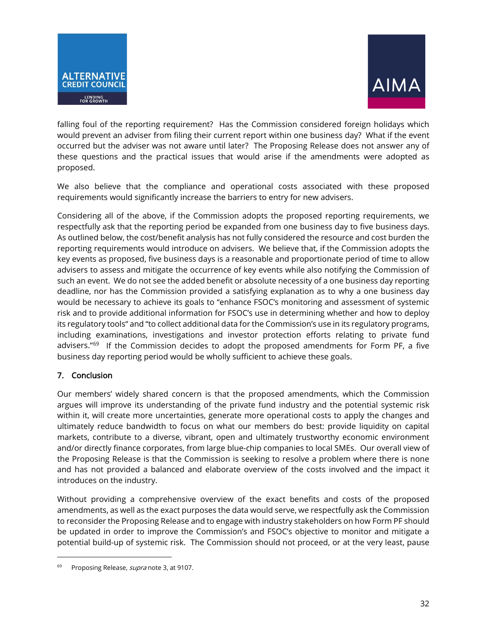



falling foul of the reporting requirement? Has the Commission considered foreign holidays which would prevent an adviser from filing their current report within one business day? What if the event occurred but the adviser was not aware until later? The Proposing Release does not answer any of these questions and the practical issues that would arise if the amendments were adopted as proposed.

We also believe that the compliance and operational costs associated with these proposed requirements would significantly increase the barriers to entry for new advisers.

Considering all of the above, if the Commission adopts the proposed reporting requirements, we respectfully ask that the reporting period be expanded from one business day to five business days. As outlined below, the cost/benefit analysis has not fully considered the resource and cost burden the reporting requirements would introduce on advisers. We believe that, if the Commission adopts the key events as proposed, five business days is a reasonable and proportionate period of time to allow advisers to assess and mitigate the occurrence of key events while also notifying the Commission of such an event. We do not see the added benefit or absolute necessity of a one business day reporting deadline, nor has the Commission provided a satisfying explanation as to why a one business day would be necessary to achieve its goals to "enhance FSOC's monitoring and assessment of systemic risk and to provide additional information for FSOC's use in determining whether and how to deploy its regulatory tools" and "to collect additional data for the Commission's use in its regulatory programs, including examinations, investigations and investor protection efforts relating to private fund advisers."[69](#page-31-0) If the Commission decides to adopt the proposed amendments for Form PF, a five business day reporting period would be wholly sufficient to achieve these goals.

# 7. Conclusion

Our members' widely shared concern is that the proposed amendments, which the Commission argues will improve its understanding of the private fund industry and the potential systemic risk within it, will create more uncertainties, generate more operational costs to apply the changes and ultimately reduce bandwidth to focus on what our members do best: provide liquidity on capital markets, contribute to a diverse, vibrant, open and ultimately trustworthy economic environment and/or directly finance corporates, from large blue-chip companies to local SMEs. Our overall view of the Proposing Release is that the Commission is seeking to resolve a problem where there is none and has not provided a balanced and elaborate overview of the costs involved and the impact it introduces on the industry.

Without providing a comprehensive overview of the exact benefits and costs of the proposed amendments, as well as the exact purposes the data would serve, we respectfully ask the Commission to reconsider the Proposing Release and to engage with industry stakeholders on how Form PF should be updated in order to improve the Commission's and FSOC's objective to monitor and mitigate a potential build-up of systemic risk. The Commission should not proceed, or at the very least, pause

<span id="page-31-0"></span>Proposing Release, supra note 3, at 9107.